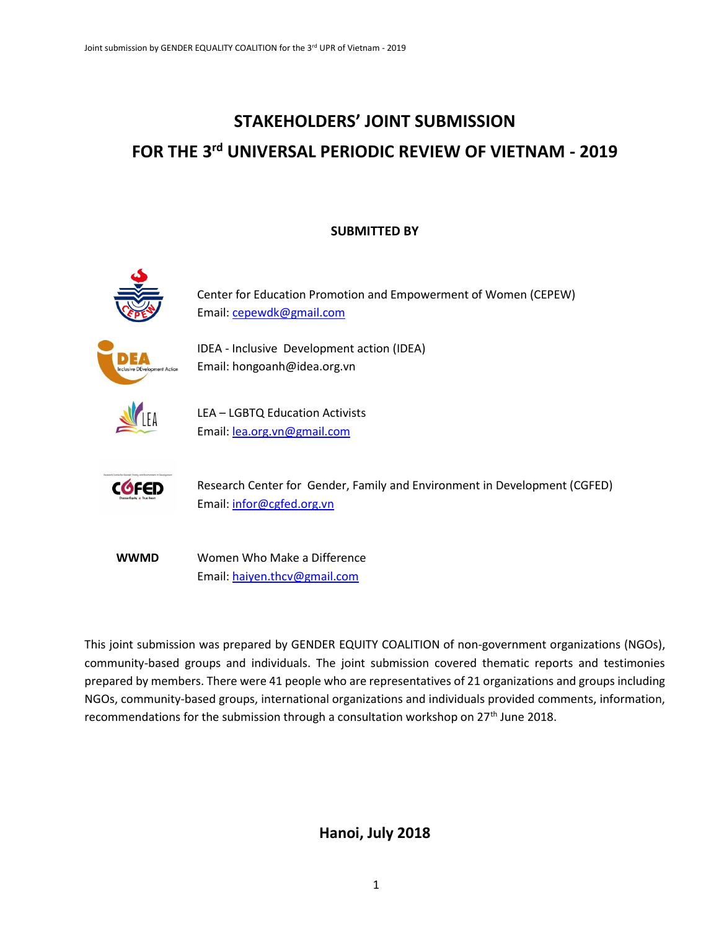# **STAKEHOLDERS' JOINT SUBMISSION FOR THE 3rd UNIVERSAL PERIODIC REVIEW OF VIETNAM - 2019**

### **SUBMITTED BY**



**WWMD** Women Who Make a Difference Email: [haiyen.thcv@gmail.com](mailto:haiyen.thcv@gmail.com)

This joint submission was prepared by GENDER EQUITY COALITION of non-government organizations (NGOs), community-based groups and individuals. The joint submission covered thematic reports and testimonies prepared by members. There were 41 people who are representatives of 21 organizations and groups including NGOs, community-based groups, international organizations and individuals provided comments, information, recommendations for the submission through a consultation workshop on  $27<sup>th</sup>$  June 2018.

## **Hanoi, July 2018**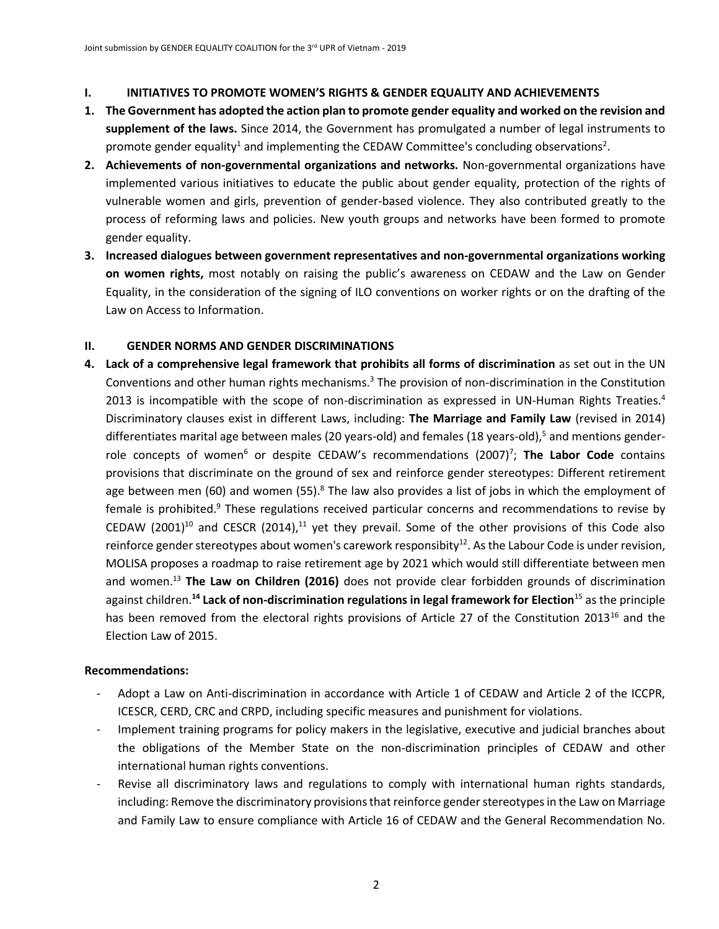#### **I. INITIATIVES TO PROMOTE WOMEN'S RIGHTS & GENDER EQUALITY AND ACHIEVEMENTS**

- **1. The Government has adopted the action plan to promote gender equality and worked on the revision and supplement of the laws.** Since 2014, the Government has promulgated a number of legal instruments to promote gender equality<sup>1</sup> and implementing the CEDAW Committee's concluding observations<sup>2</sup>.
- **2. Achievements of non-governmental organizations and networks.** Non-governmental organizations have implemented various initiatives to educate the public about gender equality, protection of the rights of vulnerable women and girls, prevention of gender-based violence. They also contributed greatly to the process of reforming laws and policies. New youth groups and networks have been formed to promote gender equality.
- **3. Increased dialogues between government representatives and non-governmental organizations working on women rights,** most notably on raising the public's awareness on CEDAW and the Law on Gender Equality, in the consideration of the signing of ILO conventions on worker rights or on the drafting of the Law on Access to Information.

### **II. GENDER NORMS AND GENDER DISCRIMINATIONS**

**4. Lack of a comprehensive legal framework that prohibits all forms of discrimination** as set out in the UN Conventions and other human rights mechanisms.<sup>3</sup> The provision of non-discrimination in the Constitution 2013 is incompatible with the scope of non-discrimination as expressed in UN-Human Rights Treaties.<sup>4</sup> Discriminatory clauses exist in different Laws, including: **The Marriage and Family Law** (revised in 2014) differentiates marital age between males (20 years-old) and females (18 years-old),<sup>5</sup> and mentions genderrole concepts of women<sup>6</sup> or despite CEDAW's recommendations (2007)<sup>7</sup>; **The Labor Code** contains provisions that discriminate on the ground of sex and reinforce gender stereotypes: Different retirement age between men (60) and women (55).<sup>8</sup> The law also provides a list of jobs in which the employment of female is prohibited.<sup>9</sup> These regulations received particular concerns and recommendations to revise by CEDAW (2001)<sup>10</sup> and CESCR (2014),<sup>11</sup> yet they prevail. Some of the other provisions of this Code also reinforce gender stereotypes about women's carework responsibity<sup>12</sup>. As the Labour Code is under revision, MOLISA proposes a roadmap to raise retirement age by 2021 which would still differentiate between men and women.<sup>13</sup> **The Law on Children (2016)** does not provide clear forbidden grounds of discrimination against children.**<sup>14</sup> Lack of non-discrimination regulations in legal framework for Election**<sup>15</sup> as the principle has been removed from the electoral rights provisions of Article 27 of the Constitution 2013<sup>16</sup> and the Election Law of 2015.

- Adopt a Law on Anti-discrimination in accordance with Article 1 of CEDAW and Article 2 of the ICCPR, ICESCR, CERD, CRC and CRPD, including specific measures and punishment for violations.
- Implement training programs for policy makers in the legislative, executive and judicial branches about the obligations of the Member State on the non-discrimination principles of CEDAW and other international human rights conventions.
- Revise all discriminatory laws and regulations to comply with international human rights standards, including: Remove the discriminatory provisions that reinforce gender stereotypes in the Law on Marriage and Family Law to ensure compliance with Article 16 of CEDAW and the General Recommendation No.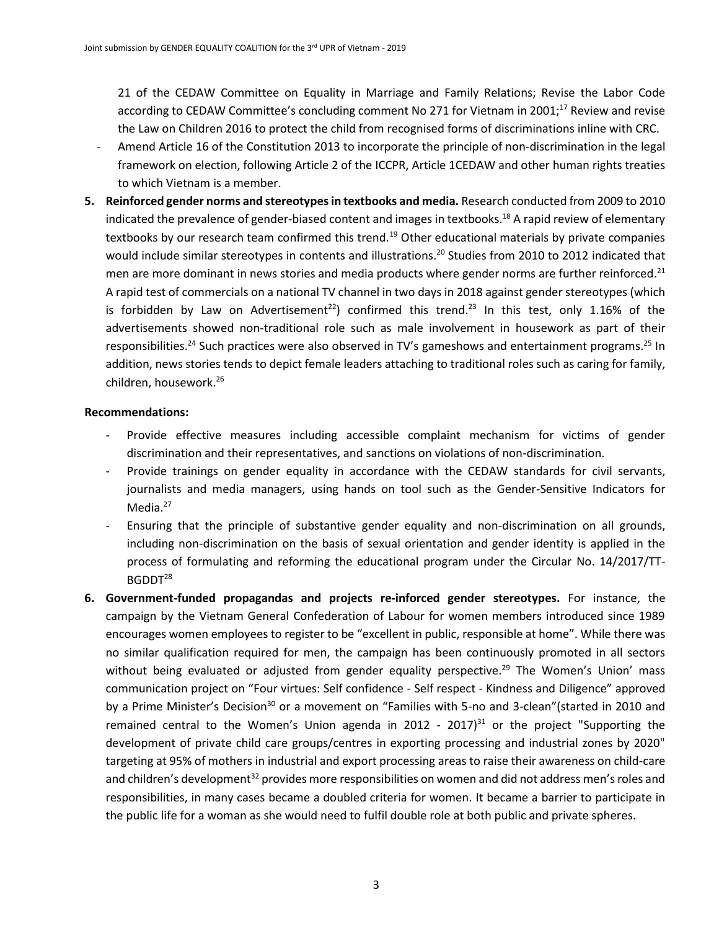21 of the CEDAW Committee on Equality in Marriage and Family Relations; Revise the Labor Code according to CEDAW Committee's concluding comment No 271 for Vietnam in 2001;<sup>17</sup> Review and revise the Law on Children 2016 to protect the child from recognised forms of discriminations inline with CRC.

- Amend Article 16 of the Constitution 2013 to incorporate the principle of non-discrimination in the legal framework on election, following Article 2 of the ICCPR, Article 1CEDAW and other human rights treaties to which Vietnam is a member.
- **5. Reinforced gender norms and stereotypesin textbooks and media.** Research conducted from 2009 to 2010 indicated the prevalence of gender-biased content and images in textbooks.<sup>18</sup> A rapid review of elementary textbooks by our research team confirmed this trend.<sup>19</sup> Other educational materials by private companies would include similar stereotypes in contents and illustrations.<sup>20</sup> Studies from 2010 to 2012 indicated that men are more dominant in news stories and media products where gender norms are further reinforced.<sup>21</sup> A rapid test of commercials on a national TV channel in two days in 2018 against gender stereotypes (which is forbidden by Law on Advertisement<sup>22</sup>) confirmed this trend.<sup>23</sup> In this test, only 1.16% of the advertisements showed non-traditional role such as male involvement in housework as part of their responsibilities.<sup>24</sup> Such practices were also observed in TV's gameshows and entertainment programs.<sup>25</sup> In addition, news stories tends to depict female leaders attaching to traditional roles such as caring for family, children, housework. 26

- Provide effective measures including accessible complaint mechanism for victims of gender discrimination and their representatives, and sanctions on violations of non-discrimination.
- Provide trainings on gender equality in accordance with the CEDAW standards for civil servants, journalists and media managers, using hands on tool such as the Gender-Sensitive Indicators for Media.<sup>27</sup>
- Ensuring that the principle of substantive gender equality and non-discrimination on all grounds, including non-discrimination on the basis of sexual orientation and gender identity is applied in the process of formulating and reforming the educational program under the Circular No. 14/2017/TT-BGDDT<sup>28</sup>
- **6. Government-funded propagandas and projects re-inforced gender stereotypes.** For instance, the campaign by the Vietnam General Confederation of Labour for women members introduced since 1989 encourages women employees to register to be "excellent in public, responsible at home". While there was no similar qualification required for men, the campaign has been continuously promoted in all sectors without being evaluated or adjusted from gender equality perspective.<sup>29</sup> The Women's Union' mass communication project on "Four virtues: Self confidence - Self respect - Kindness and Diligence" approved by a Prime Minister's Decision<sup>30</sup> or a movement on "Families with 5-no and 3-clean"(started in 2010 and remained central to the Women's Union agenda in 2012 - 2017)<sup>31</sup> or the project "Supporting the development of private child care groups/centres in exporting processing and industrial zones by 2020" targeting at 95% of mothers in industrial and export processing areas to raise their awareness on child-care and children's development<sup>32</sup> provides more responsibilities on women and did not address men's roles and responsibilities, in many cases became a doubled criteria for women. It became a barrier to participate in the public life for a woman as she would need to fulfil double role at both public and private spheres.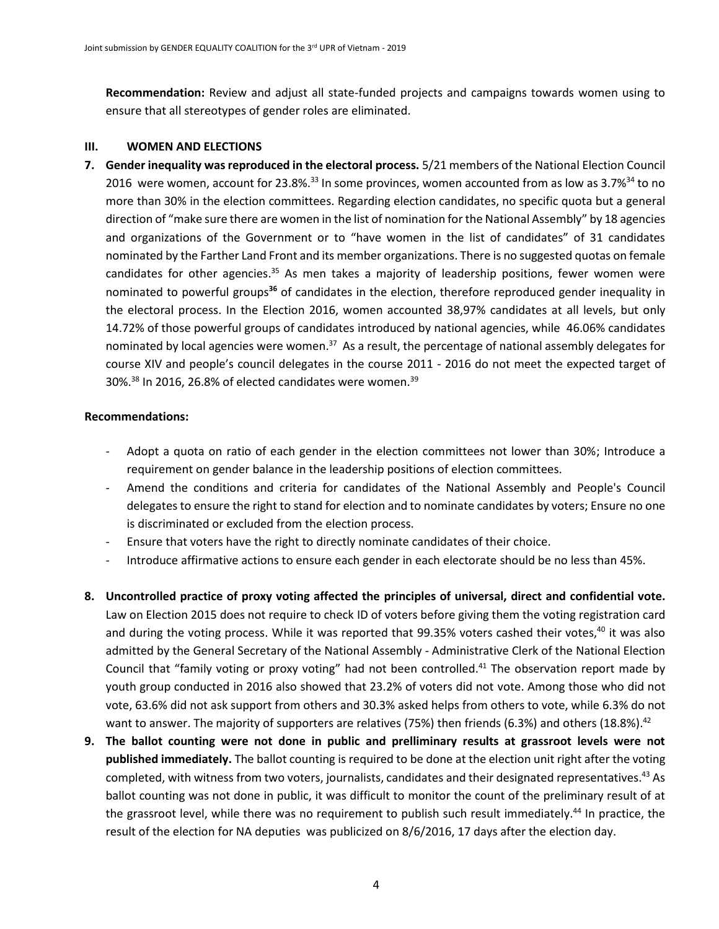**Recommendation:** Review and adjust all state-funded projects and campaigns towards women using to ensure that all stereotypes of gender roles are eliminated.

#### **III. WOMEN AND ELECTIONS**

**7. Gender inequality was reproduced in the electoral process.** 5/21 members of the National Election Council 2016 were women, account for 23.8%.<sup>33</sup> In some provinces, women accounted from as low as 3.7%<sup>34</sup> to no more than 30% in the election committees. Regarding election candidates, no specific quota but a general direction of "make sure there are women in the list of nomination for the National Assembly" by 18 agencies and organizations of the Government or to "have women in the list of candidates" of 31 candidates nominated by the Farther Land Front and its member organizations. There is no suggested quotas on female candidates for other agencies.<sup>35</sup> As men takes a majority of leadership positions, fewer women were nominated to powerful groups**<sup>36</sup>** of candidates in the election, therefore reproduced gender inequality in the electoral process. In the Election 2016, women accounted 38,97% candidates at all levels, but only 14.72% of those powerful groups of candidates introduced by national agencies, while 46.06% candidates nominated by local agencies were women.<sup>37</sup> As a result, the percentage of national assembly delegates for course XIV and people's council delegates in the course 2011 - 2016 do not meet the expected target of 30%. $^{38}$  In 2016, 26.8% of elected candidates were women. $^{39}$ 

- Adopt a quota on ratio of each gender in the election committees not lower than 30%; Introduce a requirement on gender balance in the leadership positions of election committees.
- Amend the conditions and criteria for candidates of the National Assembly and People's Council delegates to ensure the right to stand for election and to nominate candidates by voters; Ensure no one is discriminated or excluded from the election process.
- Ensure that voters have the right to directly nominate candidates of their choice.
- Introduce affirmative actions to ensure each gender in each electorate should be no less than 45%.
- **8. Uncontrolled practice of proxy voting affected the principles of universal, direct and confidential vote.** Law on Election 2015 does not require to check ID of voters before giving them the voting registration card and during the voting process. While it was reported that 99.35% voters cashed their votes, $40$  it was also admitted by the General Secretary of the National Assembly - Administrative Clerk of the National Election Council that "family voting or proxy voting" had not been controlled.<sup>41</sup> The observation report made by youth group conducted in 2016 also showed that 23.2% of voters did not vote. Among those who did not vote, 63.6% did not ask support from others and 30.3% asked helps from others to vote, while 6.3% do not want to answer. The majority of supporters are relatives (75%) then friends (6.3%) and others (18.8%).<sup>42</sup>
- **9. The ballot counting were not done in public and prelliminary results at grassroot levels were not published immediately.** The ballot counting is required to be done at the election unit right after the voting completed, with witness from two voters, journalists, candidates and their designated representatives.<sup>43</sup> As ballot counting was not done in public, it was difficult to monitor the count of the preliminary result of at the grassroot level, while there was no requirement to publish such result immediately.<sup>44</sup> In practice, the result of the election for NA deputies was publicized on 8/6/2016, 17 days after the election day.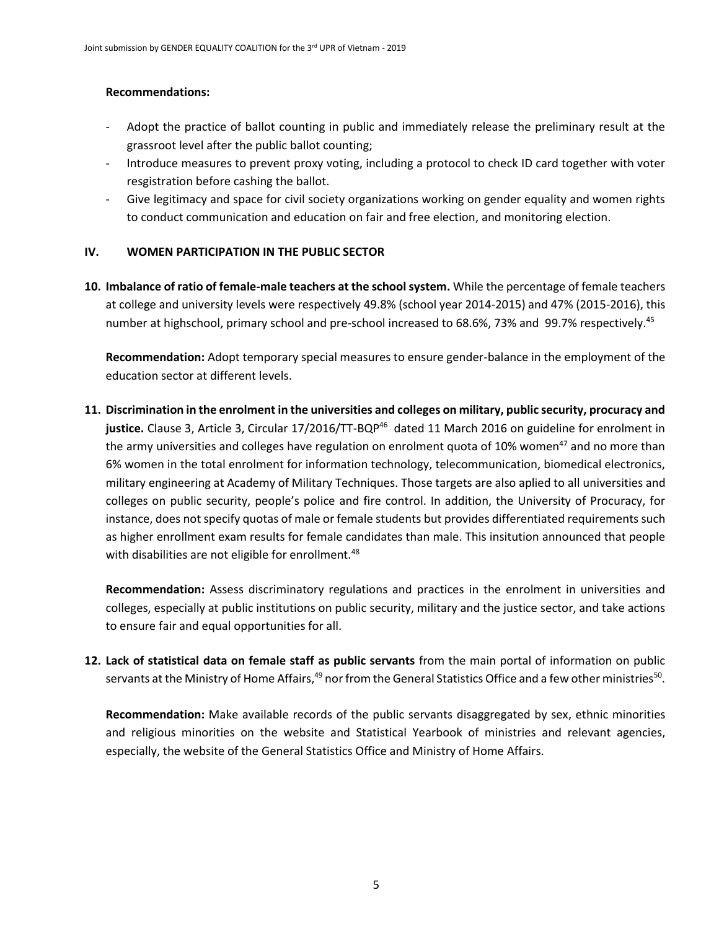#### **Recommendations:**

- Adopt the practice of ballot counting in public and immediately release the preliminary result at the grassroot level after the public ballot counting;
- Introduce measures to prevent proxy voting, including a protocol to check ID card together with voter resgistration before cashing the ballot.
- Give legitimacy and space for civil society organizations working on gender equality and women rights to conduct communication and education on fair and free election, and monitoring election.

#### **IV. WOMEN PARTICIPATION IN THE PUBLIC SECTOR**

**10. Imbalance of ratio of female-male teachers at the school system.** While the percentage of female teachers at college and university levels were respectively 49.8% (school year 2014-2015) and 47% (2015-2016), this number at highschool, primary school and pre-school increased to 68.6%, 73% and 99.7% respectively.<sup>45</sup>

**Recommendation:** Adopt temporary special measures to ensure gender-balance in the employment of the education sector at different levels.

**11. Discrimination in the enrolment in the universities and colleges on military, public security, procuracy and**  justice. Clause 3, Article 3, Circular 17/2016/TT-BQP<sup>46</sup> dated 11 March 2016 on guideline for enrolment in the army universities and colleges have regulation on enrolment quota of 10% women<sup>47</sup> and no more than 6% women in the total enrolment for information technology, telecommunication, biomedical electronics, military engineering at Academy of Military Techniques. Those targets are also aplied to all universities and colleges on public security, people's police and fire control. In addition, the University of Procuracy, for instance, does not specify quotas of male or female students but provides differentiated requirements such as higher enrollment exam results for female candidates than male. This insitution announced that people with disabilities are not eligible for enrollment.<sup>48</sup>

**Recommendation:** Assess discriminatory regulations and practices in the enrolment in universities and colleges, especially at public institutions on public security, military and the justice sector, and take actions to ensure fair and equal opportunities for all.

**12. Lack of statistical data on female staff as public servants** from the main portal of information on public servants at the Ministry of Home Affairs,<sup>49</sup> nor from the General Statistics Office and a few other ministries<sup>50</sup>.

**Recommendation:** Make available records of the public servants disaggregated by sex, ethnic minorities and religious minorities on the website and Statistical Yearbook of ministries and relevant agencies, especially, the website of the General Statistics Office and Ministry of Home Affairs.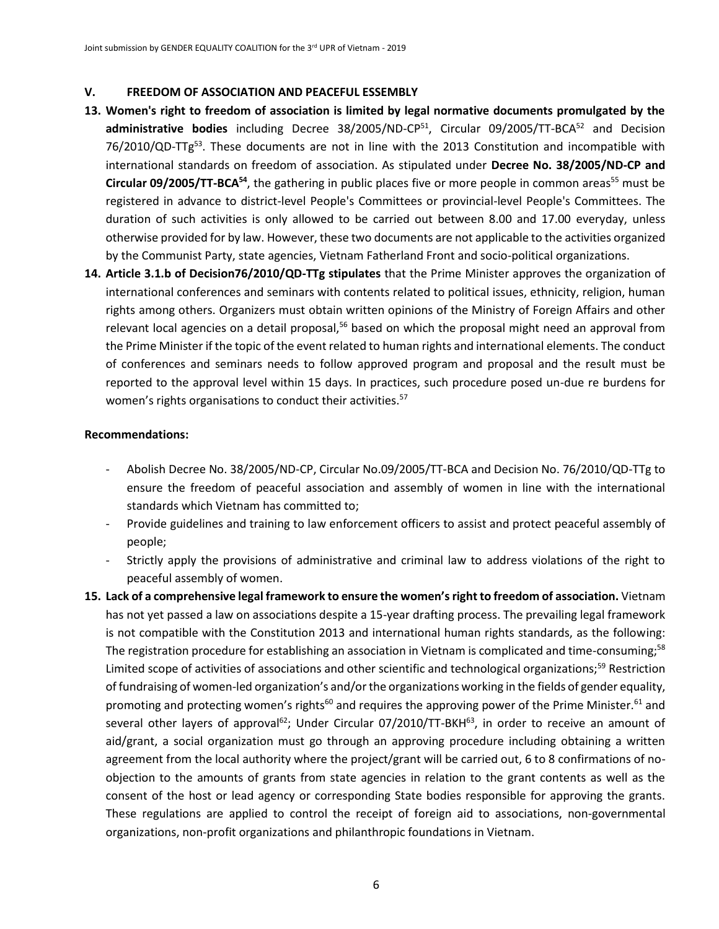#### **V. FREEDOM OF ASSOCIATION AND PEACEFUL ESSEMBLY**

- **13. Women's right to freedom of association is limited by legal normative documents promulgated by the**  administrative bodies including Decree 38/2005/ND-CP<sup>51</sup>, Circular 09/2005/TT-BCA<sup>52</sup> and Decision 76/2010/QD-TTg<sup>53</sup>. These documents are not in line with the 2013 Constitution and incompatible with international standards on freedom of association. As stipulated under **Decree No. 38/2005/ND-CP and Circular 09/2005/TT-BCA<sup>54</sup>,** the gathering in public places five or more people in common areas<sup>55</sup> must be registered in advance to district-level People's Committees or provincial-level People's Committees. The duration of such activities is only allowed to be carried out between 8.00 and 17.00 everyday, unless otherwise provided for by law. However, these two documents are not applicable to the activities organized by the Communist Party, state agencies, Vietnam Fatherland Front and socio-political organizations.
- **14. Article 3.1.b of Decision76/2010/QD-TTg stipulates** that the Prime Minister approves the organization of international conferences and seminars with contents related to political issues, ethnicity, religion, human rights among others. Organizers must obtain written opinions of the Ministry of Foreign Affairs and other relevant local agencies on a detail proposal,<sup>56</sup> based on which the proposal might need an approval from the Prime Minister if the topic of the event related to human rights and international elements. The conduct of conferences and seminars needs to follow approved program and proposal and the result must be reported to the approval level within 15 days. In practices, such procedure posed un-due re burdens for women's rights organisations to conduct their activities.<sup>57</sup>

- Abolish Decree No. 38/2005/ND-CP, Circular No.09/2005/TT-BCA and Decision No. 76/2010/QD-TTg to ensure the freedom of peaceful association and assembly of women in line with the international standards which Vietnam has committed to;
- Provide guidelines and training to law enforcement officers to assist and protect peaceful assembly of people;
- Strictly apply the provisions of administrative and criminal law to address violations of the right to peaceful assembly of women.
- **15. Lack of a comprehensive legal framework to ensure the women's right to freedom of association.** Vietnam has not yet passed a law on associations despite a 15-year drafting process. The prevailing legal framework is not compatible with the Constitution 2013 and international human rights standards, as the following: The registration procedure for establishing an association in Vietnam is complicated and time-consuming;<sup>58</sup> Limited scope of activities of associations and other scientific and technological organizations;<sup>59</sup> Restriction of fundraising of women-led organization's and/or the organizations working in the fields of gender equality, promoting and protecting women's rights<sup>60</sup> and requires the approving power of the Prime Minister.<sup>61</sup> and several other layers of approval<sup>62</sup>; Under Circular 07/2010/TT-BKH<sup>63</sup>, in order to receive an amount of aid/grant, a social organization must go through an approving procedure including obtaining a written agreement from the local authority where the project/grant will be carried out, 6 to 8 confirmations of noobjection to the amounts of grants from state agencies in relation to the grant contents as well as the consent of the host or lead agency or corresponding State bodies responsible for approving the grants. These regulations are applied to control the receipt of foreign aid to associations, non-governmental organizations, non-profit organizations and philanthropic foundations in Vietnam.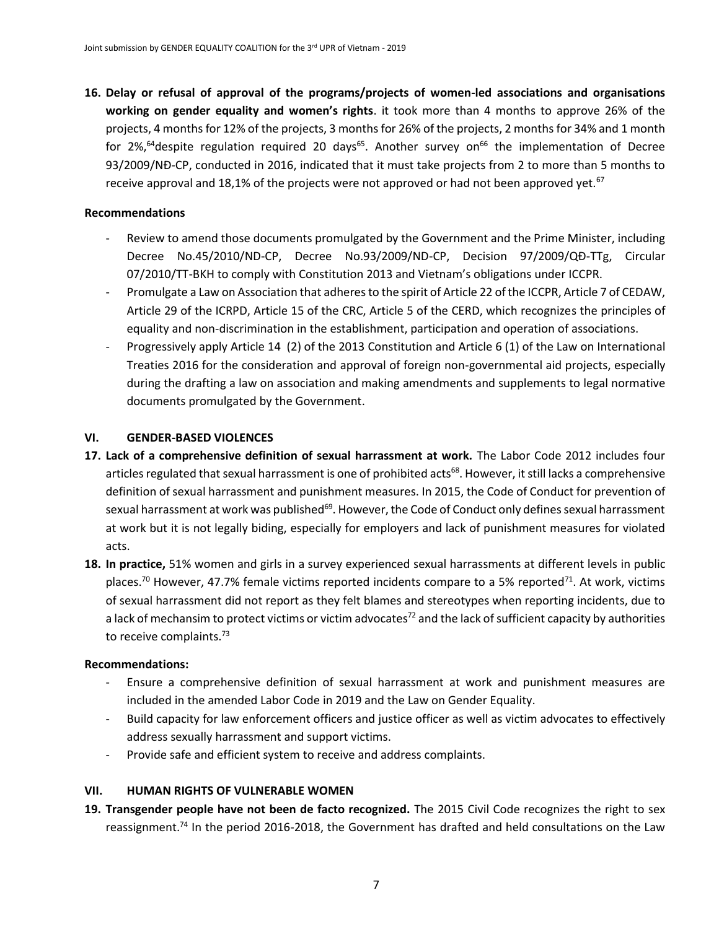**16. Delay or refusal of approval of the programs/projects of women-led associations and organisations working on gender equality and women's rights**. it took more than 4 months to approve 26% of the projects, 4 months for 12% of the projects, 3 months for 26% of the projects, 2 months for 34% and 1 month for 2%,<sup>64</sup> despite regulation required 20 days<sup>65</sup>. Another survey on<sup>66</sup> the implementation of Decree 93/2009/NĐ-CP, conducted in 2016, indicated that it must take projects from 2 to more than 5 months to receive approval and 18,1% of the projects were not approved or had not been approved yet.<sup>67</sup>

#### **Recommendations**

- Review to amend those documents promulgated by the Government and the Prime Minister, including Decree No.45/2010/ND-CP, Decree No.93/2009/ND-CP, Decision 97/2009/QĐ-TTg, Circular 07/2010/TT-BKH to comply with Constitution 2013 and Vietnam's obligations under ICCPR.
- Promulgate a Law on Association that adheres to the spirit of Article 22 of the ICCPR, Article 7 of CEDAW, Article 29 of the ICRPD, Article 15 of the CRC, Article 5 of the CERD, which recognizes the principles of equality and non-discrimination in the establishment, participation and operation of associations.
- Progressively apply Article 14 (2) of the 2013 Constitution and Article 6 (1) of the Law on International Treaties 2016 for the consideration and approval of foreign non-governmental aid projects, especially during the drafting a law on association and making amendments and supplements to legal normative documents promulgated by the Government.

#### **VI. GENDER-BASED VIOLENCES**

- **17. Lack of a comprehensive definition of sexual harrassment at work.** The Labor Code 2012 includes four articles regulated that sexual harrassment is one of prohibited acts<sup>68</sup>. However, it still lacks a comprehensive definition of sexual harrassment and punishment measures. In 2015, the Code of Conduct for prevention of sexual harrassment at work was published<sup>69</sup>. However, the Code of Conduct only defines sexual harrassment at work but it is not legally biding, especially for employers and lack of punishment measures for violated acts.
- **18. In practice,** 51% women and girls in a survey experienced sexual harrassments at different levels in public places.<sup>70</sup> However, 47.7% female victims reported incidents compare to a 5% reported<sup>71</sup>. At work, victims of sexual harrassment did not report as they felt blames and stereotypes when reporting incidents, due to a lack of mechansim to protect victims or victim advocates $^{72}$  and the lack of sufficient capacity by authorities to receive complaints.<sup>73</sup>

#### **Recommendations:**

- Ensure a comprehensive definition of sexual harrassment at work and punishment measures are included in the amended Labor Code in 2019 and the Law on Gender Equality.
- Build capacity for law enforcement officers and justice officer as well as victim advocates to effectively address sexually harrassment and support victims.
- Provide safe and efficient system to receive and address complaints.

#### **VII. HUMAN RIGHTS OF VULNERABLE WOMEN**

**19. Transgender people have not been de facto recognized.** The 2015 Civil Code recognizes the right to sex reassignment.<sup>74</sup> In the period 2016-2018, the Government has drafted and held consultations on the Law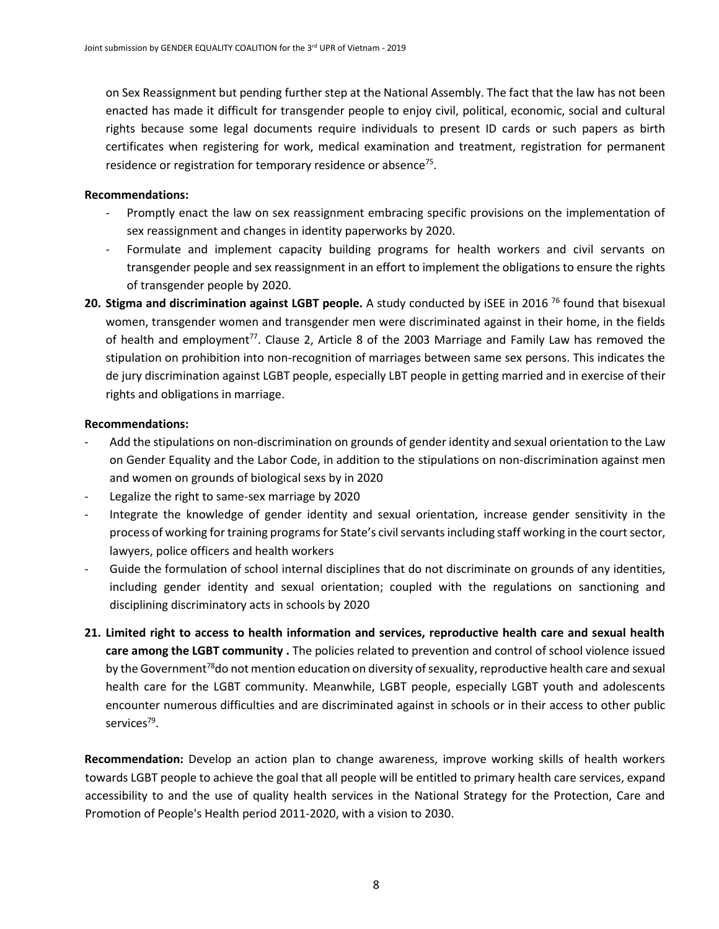on Sex Reassignment but pending further step at the National Assembly. The fact that the law has not been enacted has made it difficult for transgender people to enjoy civil, political, economic, social and cultural rights because some legal documents require individuals to present ID cards or such papers as birth certificates when registering for work, medical examination and treatment, registration for permanent residence or registration for temporary residence or absence<sup>75</sup>.

#### **Recommendations:**

- Promptly enact the law on sex reassignment embracing specific provisions on the implementation of sex reassignment and changes in identity paperworks by 2020.
- Formulate and implement capacity building programs for health workers and civil servants on transgender people and sex reassignment in an effort to implement the obligations to ensure the rights of transgender people by 2020.
- **20. Stigma and discrimination against LGBT people.** A study conducted by iSEE in 2016 <sup>76</sup> found that bisexual women, transgender women and transgender men were discriminated against in their home, in the fields of health and employment<sup>77</sup>. Clause 2, Article 8 of the 2003 Marriage and Family Law has removed the stipulation on prohibition into non-recognition of marriages between same sex persons. This indicates the de jury discrimination against LGBT people, especially LBT people in getting married and in exercise of their rights and obligations in marriage.

#### **Recommendations:**

- Add the stipulations on non-discrimination on grounds of gender identity and sexual orientation to the Law on Gender Equality and the Labor Code, in addition to the stipulations on non-discrimination against men and women on grounds of biological sexs by in 2020
- Legalize the right to same-sex marriage by 2020
- Integrate the knowledge of gender identity and sexual orientation, increase gender sensitivity in the process of working for training programs for State's civil servants including staff working in the court sector, lawyers, police officers and health workers
- Guide the formulation of school internal disciplines that do not discriminate on grounds of any identities, including gender identity and sexual orientation; coupled with the regulations on sanctioning and disciplining discriminatory acts in schools by 2020
- **21. Limited right to access to health information and services, reproductive health care and sexual health care among the LGBT community .** The policies related to prevention and control of school violence issued by the Government<sup>78</sup>do not mention education on diversity of sexuality, reproductive health care and sexual health care for the LGBT community. Meanwhile, LGBT people, especially LGBT youth and adolescents encounter numerous difficulties and are discriminated against in schools or in their access to other public services<sup>79</sup>.

**Recommendation:** Develop an action plan to change awareness, improve working skills of health workers towards LGBT people to achieve the goal that all people will be entitled to primary health care services, expand accessibility to and the use of quality health services in the National Strategy for the Protection, Care and Promotion of People's Health period 2011-2020, with a vision to 2030.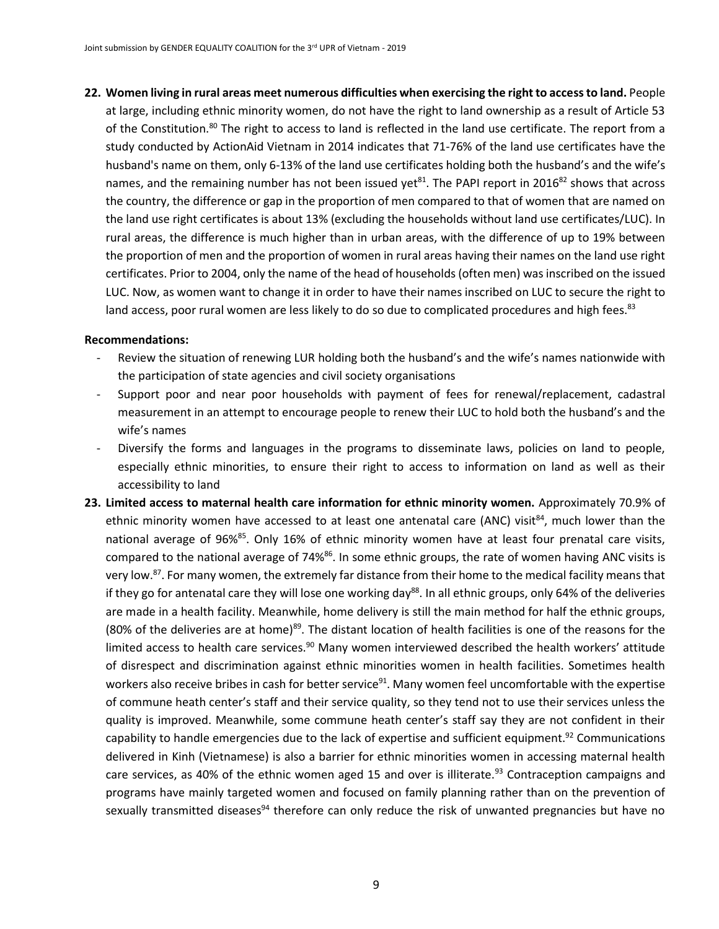**22. Women living in rural areas meet numerous difficulties when exercising the right to access to land.** People

at large, including ethnic minority women, do not have the right to land ownership as a result of Article 53 of the Constitution.<sup>80</sup> The right to access to land is reflected in the land use certificate. The report from a study conducted by ActionAid Vietnam in 2014 indicates that 71-76% of the land use certificates have the husband's name on them, only 6-13% of the land use certificates holding both the husband's and the wife's names, and the remaining number has not been issued yet $^{81}$ . The PAPI report in 2016 $^{82}$  shows that across the country, the difference or gap in the proportion of men compared to that of women that are named on the land use right certificates is about 13% (excluding the households without land use certificates/LUC). In rural areas, the difference is much higher than in urban areas, with the difference of up to 19% between the proportion of men and the proportion of women in rural areas having their names on the land use right certificates. Prior to 2004, only the name of the head of households (often men) was inscribed on the issued LUC. Now, as women want to change it in order to have their names inscribed on LUC to secure the right to land access, poor rural women are less likely to do so due to complicated procedures and high fees.<sup>83</sup>

- Review the situation of renewing LUR holding both the husband's and the wife's names nationwide with the participation of state agencies and civil society organisations
- Support poor and near poor households with payment of fees for renewal/replacement, cadastral measurement in an attempt to encourage people to renew their LUC to hold both the husband's and the wife's names
- Diversify the forms and languages in the programs to disseminate laws, policies on land to people, especially ethnic minorities, to ensure their right to access to information on land as well as their accessibility to land
- **23. Limited access to maternal health care information for ethnic minority women.** Approximately 70.9% of ethnic minority women have accessed to at least one antenatal care (ANC) visit<sup>84</sup>, much lower than the national average of 96%<sup>85</sup>. Only 16% of ethnic minority women have at least four prenatal care visits, compared to the national average of 74%<sup>86</sup>. In some ethnic groups, the rate of women having ANC visits is very low.<sup>87</sup>. For many women, the extremely far distance from their home to the medical facility means that if they go for antenatal care they will lose one working day<sup>88</sup>. In all ethnic groups, only 64% of the deliveries are made in a health facility. Meanwhile, home delivery is still the main method for half the ethnic groups, (80% of the deliveries are at home)<sup>89</sup>. The distant location of health facilities is one of the reasons for the limited access to health care services. $90$  Many women interviewed described the health workers' attitude of disrespect and discrimination against ethnic minorities women in health facilities. Sometimes health workers also receive bribes in cash for better service<sup>91</sup>. Many women feel uncomfortable with the expertise of commune heath center's staff and their service quality, so they tend not to use their services unless the quality is improved. Meanwhile, some commune heath center's staff say they are not confident in their capability to handle emergencies due to the lack of expertise and sufficient equipment.<sup>92</sup> Communications delivered in Kinh (Vietnamese) is also a barrier for ethnic minorities women in accessing maternal health care services, as 40% of the ethnic women aged 15 and over is illiterate.<sup>93</sup> Contraception campaigns and programs have mainly targeted women and focused on family planning rather than on the prevention of sexually transmitted diseases<sup>94</sup> therefore can only reduce the risk of unwanted pregnancies but have no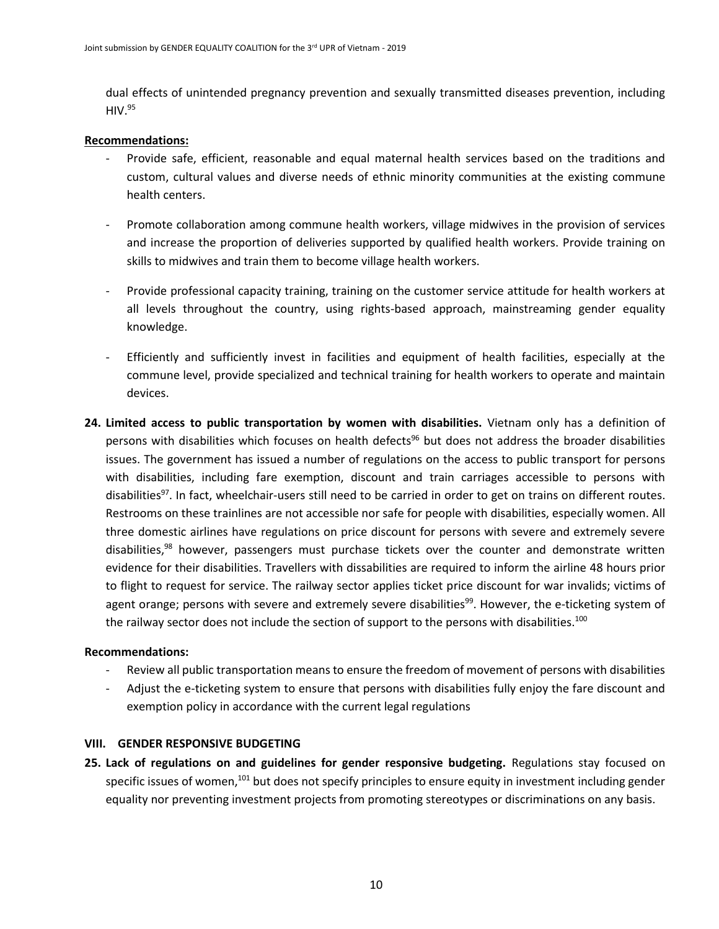dual effects of unintended pregnancy prevention and sexually transmitted diseases prevention, including  $HIV.<sup>95</sup>$ 

#### **Recommendations:**

- Provide safe, efficient, reasonable and equal maternal health services based on the traditions and custom, cultural values and diverse needs of ethnic minority communities at the existing commune health centers.
- Promote collaboration among commune health workers, village midwives in the provision of services and increase the proportion of deliveries supported by qualified health workers. Provide training on skills to midwives and train them to become village health workers.
- Provide professional capacity training, training on the customer service attitude for health workers at all levels throughout the country, using rights-based approach, mainstreaming gender equality knowledge.
- Efficiently and sufficiently invest in facilities and equipment of health facilities, especially at the commune level, provide specialized and technical training for health workers to operate and maintain devices.
- **24. Limited access to public transportation by women with disabilities.** Vietnam only has a definition of persons with disabilities which focuses on health defects<sup>96</sup> but does not address the broader disabilities issues. The government has issued a number of regulations on the access to public transport for persons with disabilities, including fare exemption, discount and train carriages accessible to persons with disabilities<sup>97</sup>. In fact, wheelchair-users still need to be carried in order to get on trains on different routes. Restrooms on these trainlines are not accessible nor safe for people with disabilities, especially women. All three domestic airlines have regulations on price discount for persons with severe and extremely severe disabilities,<sup>98</sup> however, passengers must purchase tickets over the counter and demonstrate written evidence for their disabilities. Travellers with dissabilities are required to inform the airline 48 hours prior to flight to request for service. The railway sector applies ticket price discount for war invalids; victims of agent orange; persons with severe and extremely severe disabilities<sup>99</sup>. However, the e-ticketing system of the railway sector does not include the section of support to the persons with disabilities.<sup>100</sup>

#### **Recommendations:**

- Review all public transportation means to ensure the freedom of movement of persons with disabilities
- Adjust the e-ticketing system to ensure that persons with disabilities fully enjoy the fare discount and exemption policy in accordance with the current legal regulations

#### **VIII. GENDER RESPONSIVE BUDGETING**

**25. Lack of regulations on and guidelines for gender responsive budgeting.** Regulations stay focused on specific issues of women,<sup>101</sup> but does not specify principles to ensure equity in investment including gender equality nor preventing investment projects from promoting stereotypes or discriminations on any basis.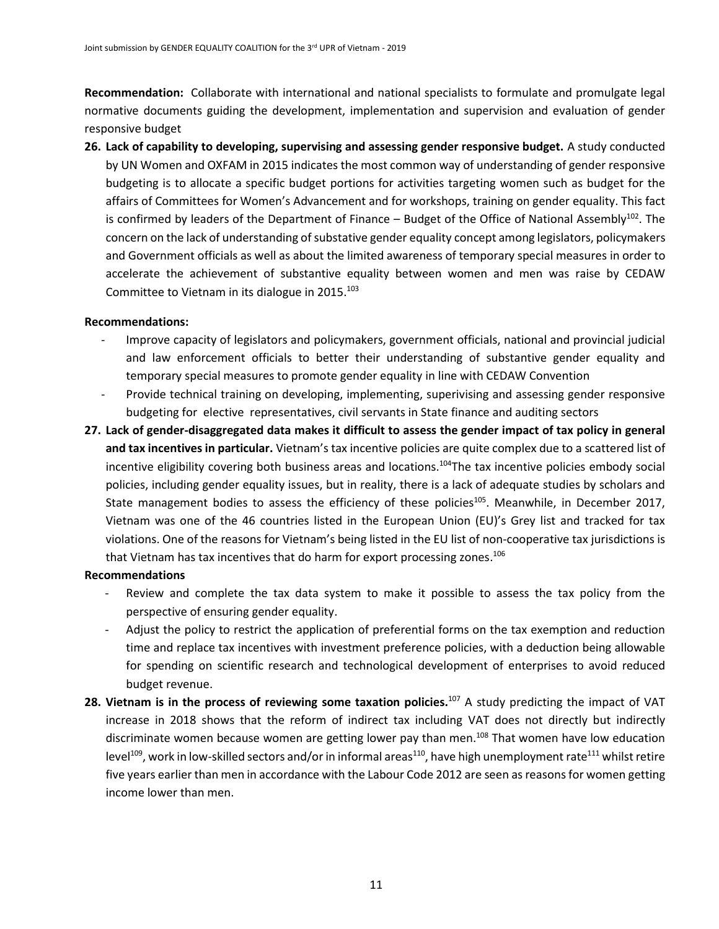**Recommendation:** Collaborate with international and national specialists to formulate and promulgate legal normative documents guiding the development, implementation and supervision and evaluation of gender responsive budget

**26. Lack of capability to developing, supervising and assessing gender responsive budget.** A study conducted by UN Women and OXFAM in 2015 indicates the most common way of understanding of gender responsive budgeting is to allocate a specific budget portions for activities targeting women such as budget for the affairs of Committees for Women's Advancement and for workshops, training on gender equality. This fact is confirmed by leaders of the Department of Finance – Budget of the Office of National Assembly<sup>102</sup>. The concern on the lack of understanding of substative gender equality concept among legislators, policymakers and Government officials as well as about the limited awareness of temporary special measures in order to accelerate the achievement of substantive equality between women and men was raise by CEDAW Committee to Vietnam in its dialogue in 2015.<sup>103</sup>

#### **Recommendations:**

- Improve capacity of legislators and policymakers, government officials, national and provincial judicial and law enforcement officials to better their understanding of substantive gender equality and temporary special measures to promote gender equality in line with CEDAW Convention
- Provide technical training on developing, implementing, superivising and assessing gender responsive budgeting for elective representatives, civil servants in State finance and auditing sectors
- **27. Lack of gender-disaggregated data makes it difficult to assess the gender impact of tax policy in general and tax incentives in particular.** Vietnam's tax incentive policies are quite complex due to a scattered list of incentive eligibility covering both business areas and locations.<sup>104</sup>The tax incentive policies embody social policies, including gender equality issues, but in reality, there is a lack of adequate studies by scholars and State management bodies to assess the efficiency of these policies<sup>105</sup>. Meanwhile, in December 2017, Vietnam was one of the 46 countries listed in the European Union (EU)'s Grey list and tracked for tax violations. One of the reasons for Vietnam's being listed in the EU list of non-cooperative tax jurisdictions is that Vietnam has tax incentives that do harm for export processing zones.<sup>106</sup>

- Review and complete the tax data system to make it possible to assess the tax policy from the perspective of ensuring gender equality.
- Adjust the policy to restrict the application of preferential forms on the tax exemption and reduction time and replace tax incentives with investment preference policies, with a deduction being allowable for spending on scientific research and technological development of enterprises to avoid reduced budget revenue.
- **28. Vietnam is in the process of reviewing some taxation policies.**<sup>107</sup> A study predicting the impact of VAT increase in 2018 shows that the reform of indirect tax including VAT does not directly but indirectly discriminate women because women are getting lower pay than men.<sup>108</sup> That women have low education level<sup>109</sup>, work in low-skilled sectors and/or in informal areas<sup>110</sup>, have high unemployment rate<sup>111</sup> whilst retire five years earlier than men in accordance with the Labour Code 2012 are seen as reasons for women getting income lower than men.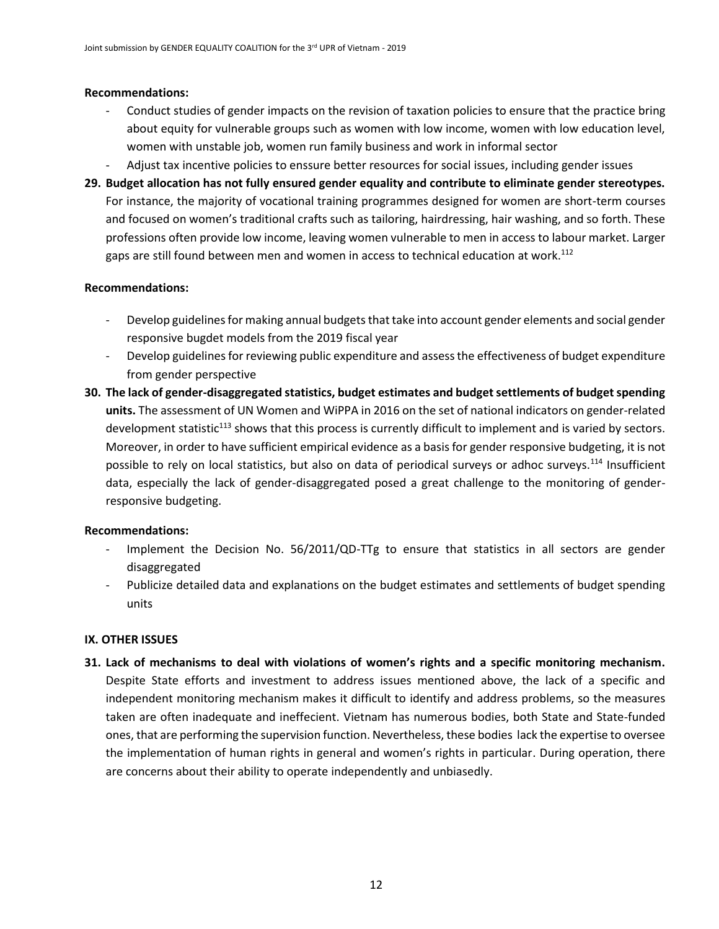#### **Recommendations:**

- Conduct studies of gender impacts on the revision of taxation policies to ensure that the practice bring about equity for vulnerable groups such as women with low income, women with low education level, women with unstable job, women run family business and work in informal sector
- Adjust tax incentive policies to enssure better resources for social issues, including gender issues
- **29. Budget allocation has not fully ensured gender equality and contribute to eliminate gender stereotypes.** For instance, the majority of vocational training programmes designed for women are short-term courses and focused on women's traditional crafts such as tailoring, hairdressing, hair washing, and so forth. These professions often provide low income, leaving women vulnerable to men in access to labour market. Larger gaps are still found between men and women in access to technical education at work.<sup>112</sup>

#### **Recommendations:**

- Develop guidelines for making annual budgets that take into account gender elements and social gender responsive bugdet models from the 2019 fiscal year
- Develop guidelines for reviewing public expenditure and assess the effectiveness of budget expenditure from gender perspective
- **30. The lack of gender-disaggregated statistics, budget estimates and budget settlements of budget spending units.** The assessment of UN Women and WiPPA in 2016 on the set of national indicators on gender-related development statistic<sup>113</sup> shows that this process is currently difficult to implement and is varied by sectors. Moreover, in order to have sufficient empirical evidence as a basis for gender responsive budgeting, it is not possible to rely on local statistics, but also on data of periodical surveys or adhoc surveys.<sup>114</sup> Insufficient data, especially the lack of gender-disaggregated posed a great challenge to the monitoring of genderresponsive budgeting.

#### **Recommendations:**

- Implement the Decision No. 56/2011/QD-TTg to ensure that statistics in all sectors are gender disaggregated
- Publicize detailed data and explanations on the budget estimates and settlements of budget spending units

#### **IX. OTHER ISSUES**

**31. Lack of mechanisms to deal with violations of women's rights and a specific monitoring mechanism.**  Despite State efforts and investment to address issues mentioned above, the lack of a specific and independent monitoring mechanism makes it difficult to identify and address problems, so the measures taken are often inadequate and ineffecient. Vietnam has numerous bodies, both State and State-funded ones, that are performing the supervision function. Nevertheless, these bodies lack the expertise to oversee the implementation of human rights in general and women's rights in particular. During operation, there are concerns about their ability to operate independently and unbiasedly.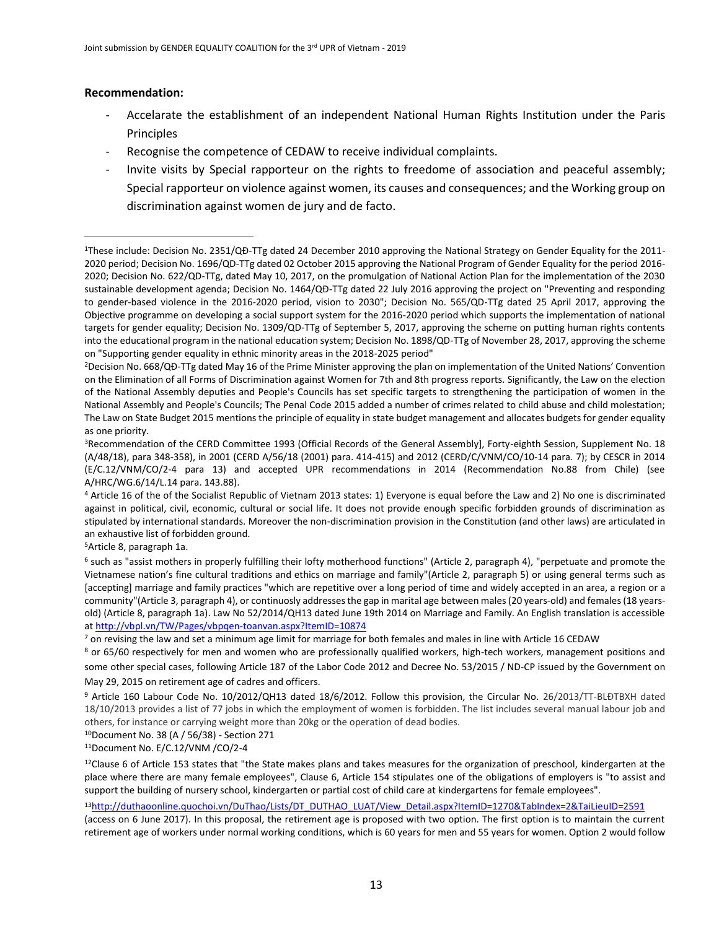#### **Recommendation:**

 $\overline{a}$ 

- Accelarate the establishment of an independent National Human Rights Institution under the Paris Principles
- Recognise the competence of CEDAW to receive individual complaints.
- Invite visits by Special rapporteur on the rights to freedome of association and peaceful assembly; Special rapporteur on violence against women, its causes and consequences; and the Working group on discrimination against women de jury and de facto.

<sup>5</sup>Article 8, paragraph 1a.

<sup>10</sup>Document No. 38 (A / 56/38) - Section 271

<sup>11</sup>Document No. E/C.12/VNM /CO/2-4

 $12$ Clause 6 of Article 153 states that "the State makes plans and takes measures for the organization of preschool, kindergarten at the place where there are many female employees", Clause 6, Article 154 stipulates one of the obligations of employers is "to assist and support the building of nursery school, kindergarten or partial cost of child care at kindergartens for female employees".

13[http://duthaoonline.quochoi.vn/DuThao/Lists/DT\\_DUTHAO\\_LUAT/View\\_Detail.aspx?ItemID=1270&TabIndex=2&TaiLieuID=2591](http://duthaoonline.quochoi.vn/DuThao/Lists/DT_DUTHAO_LUAT/View_Detail.aspx?ItemID=1270&TabIndex=2&TaiLieuID=2591)

(access on 6 June 2017). In this proposal, the retirement age is proposed with two option. The first option is to maintain the current retirement age of workers under normal working conditions, which is 60 years for men and 55 years for women. Option 2 would follow

<sup>1</sup>These include: Decision No. 2351/QĐ-TTg dated 24 December 2010 approving the National Strategy on Gender Equality for the 2011- 2020 period; Decision No. 1696/QD-TTg dated 02 October 2015 approving the National Program of Gender Equality for the period 2016- 2020; Decision No. 622/QD-TTg, dated May 10, 2017, on the promulgation of National Action Plan for the implementation of the 2030 sustainable development agenda; Decision No. 1464/QĐ-TTg dated 22 July 2016 approving the project on "Preventing and responding to gender-based violence in the 2016-2020 period, vision to 2030"; Decision No. 565/QD-TTg dated 25 April 2017, approving the Objective programme on developing a social support system for the 2016-2020 period which supports the implementation of national targets for gender equality; Decision No. 1309/QD-TTg of September 5, 2017, approving the scheme on putting human rights contents into the educational program in the national education system; Decision No. 1898/QD-TTg of November 28, 2017, approving the scheme on "Supporting gender equality in ethnic minority areas in the 2018-2025 period"

<sup>2</sup>Decision No. 668/QĐ-TTg dated May 16 of the Prime Minister approving the plan on implementation of the United Nations' Convention on the Elimination of all Forms of Discrimination against Women for 7th and 8th progress reports. Significantly, the Law on the election of the National Assembly deputies and People's Councils has set specific targets to strengthening the participation of women in the National Assembly and People's Councils; The Penal Code 2015 added a number of crimes related to child abuse and child molestation; The Law on State Budget 2015 mentions the principle of equality in state budget management and allocates budgets for gender equality as one priority.

<sup>&</sup>lt;sup>3</sup>Recommendation of the CERD Committee 1993 (Official Records of the General Assembly], Forty-eighth Session, Supplement No. 18 (A/48/18), para 348-358), in 2001 (CERD A/56/18 (2001) para. 414-415) and 2012 (CERD/C/VNM/CO/10-14 para. 7); by CESCR in 2014 (E/C.12/VNM/CO/2-4 para 13) and accepted UPR recommendations in 2014 (Recommendation No.88 from Chile) (see A/HRC/WG.6/14/L.14 para. 143.88).

<sup>4</sup> Article 16 of the of the Socialist Republic of Vietnam 2013 states: 1) Everyone is equal before the Law and 2) No one is discriminated against in political, civil, economic, cultural or social life. It does not provide enough specific forbidden grounds of discrimination as stipulated by international standards. Moreover the non-discrimination provision in the Constitution (and other laws) are articulated in an exhaustive list of forbidden ground.

<sup>6</sup> such as "assist mothers in properly fulfilling their lofty motherhood functions" (Article 2, paragraph 4), "perpetuate and promote the Vietnamese nation's fine cultural traditions and ethics on marriage and family"(Article 2, paragraph 5) or using general terms such as [accepting] marriage and family practices "which are repetitive over a long period of time and widely accepted in an area, a region or a community"(Article 3, paragraph 4), or continuosly addresses the gap in marital age between males (20 years-old) and females (18 yearsold) (Article 8, paragraph 1a). Law No 52/2014/QH13 dated June 19th 2014 on Marriage and Family. An English translation is accessible a[t http://vbpl.vn/TW/Pages/vbpqen-toanvan.aspx?ItemID=10874](http://vbpl.vn/TW/Pages/vbpqen-toanvan.aspx?ItemID=10874)

 $7$  on revising the law and set a minimum age limit for marriage for both females and males in line with Article 16 CEDAW

<sup>&</sup>lt;sup>8</sup> or 65/60 respectively for men and women who are professionally qualified workers, high-tech workers, management positions and some other special cases, following Article 187 of the Labor Code 2012 and Decree No. 53/2015 / ND-CP issued by the Government on May 29, 2015 on retirement age of cadres and officers.

<sup>9</sup> Article 160 Labour Code No. 10/2012/QH13 dated 18/6/2012. Follow this provision, the Circular No. 26/2013/TT-BLĐTBXH dated 18/10/2013 provides a list of 77 jobs in which the employment of women is forbidden. The list includes several manual labour job and others, for instance or carrying weight more than 20kg or the operation of dead bodies.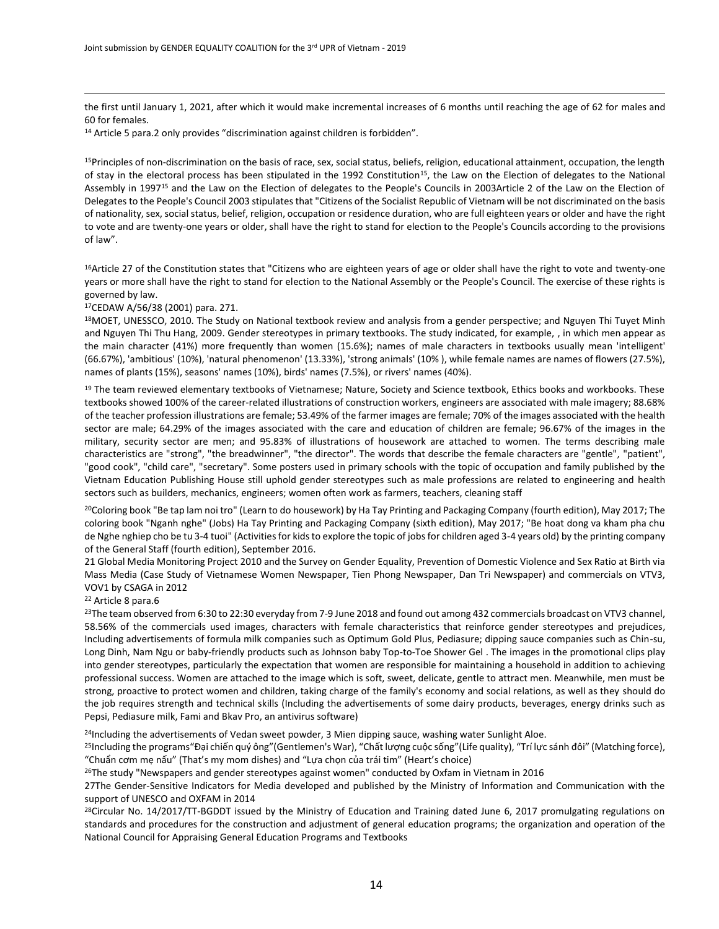the first until January 1, 2021, after which it would make incremental increases of 6 months until reaching the age of 62 for males and 60 for females.

<sup>14</sup> Article 5 para.2 only provides "discrimination against children is forbidden".

<sup>15</sup>Principles of non-discrimination on the basis of race, sex, social status, beliefs, religion, educational attainment, occupation, the length of stay in the electoral process has been stipulated in the 1992 Constitution<sup>15</sup>, the Law on the Election of delegates to the National Assembly in 1997<sup>15</sup> and the Law on the Election of delegates to the People's Councils in 2003Article 2 of the Law on the Election of Delegates to the People's Council 2003 stipulates that "Citizens of the Socialist Republic of Vietnam will be not discriminated on the basis of nationality, sex, social status, belief, religion, occupation or residence duration, who are full eighteen years or older and have the right to vote and are twenty-one years or older, shall have the right to stand for election to the People's Councils according to the provisions of law".

<sup>16</sup>Article 27 of the Constitution states that "Citizens who are eighteen years of age or older shall have the right to vote and twenty-one years or more shall have the right to stand for election to the National Assembly or the People's Council. The exercise of these rights is governed by law.

<sup>17</sup>CEDAW A/56/38 (2001) para. 271.

 $\overline{a}$ 

18MOET, UNESSCO, 2010. The Study on National textbook review and analysis from a gender perspective; and Nguyen Thi Tuyet Minh and Nguyen Thi Thu Hang, 2009. Gender stereotypes in primary textbooks. The study indicated, for example, , in which men appear as the main character (41%) more frequently than women (15.6%); names of male characters in textbooks usually mean 'intelligent' (66.67%), 'ambitious' (10%), 'natural phenomenon' (13.33%), 'strong animals' (10% ), while female names are names of flowers (27.5%), names of plants (15%), seasons' names (10%), birds' names (7.5%), or rivers' names (40%).

<sup>19</sup> The team reviewed elementary textbooks of Vietnamese; Nature, Society and Science textbook, Ethics books and workbooks. These textbooks showed 100% of the career-related illustrations of construction workers, engineers are associated with male imagery; 88.68% of the teacher profession illustrations are female; 53.49% of the farmer images are female; 70% of the images associated with the health sector are male; 64.29% of the images associated with the care and education of children are female; 96.67% of the images in the military, security sector are men; and 95.83% of illustrations of housework are attached to women. The terms describing male characteristics are "strong", "the breadwinner", "the director". The words that describe the female characters are "gentle", "patient", "good cook", "child care", "secretary". Some posters used in primary schools with the topic of occupation and family published by the Vietnam Education Publishing House still uphold gender stereotypes such as male professions are related to engineering and health sectors such as builders, mechanics, engineers; women often work as farmers, teachers, cleaning staff

<sup>20</sup>Coloring book "Be tap lam noi tro" (Learn to do housework) by Ha Tay Printing and Packaging Company (fourth edition), May 2017; The coloring book "Nganh nghe" (Jobs) Ha Tay Printing and Packaging Company (sixth edition), May 2017; "Be hoat dong va kham pha chu de Nghe nghiep cho be tu 3-4 tuoi" (Activities for kids to explore the topic of jobs for children aged 3-4 years old) by the printing company of the General Staff (fourth edition), September 2016.

21 Global Media Monitoring Project 2010 and the Survey on Gender Equality, Prevention of Domestic Violence and Sex Ratio at Birth via Mass Media (Case Study of Vietnamese Women Newspaper, Tien Phong Newspaper, Dan Tri Newspaper) and commercials on VTV3, VOV1 by CSAGA in 2012

<sup>22</sup> Article 8 para.6

<sup>23</sup>The team observed from 6:30 to 22:30 everyday from 7-9 June 2018 and found out among 432 commercials broadcast on VTV3 channel, 58.56% of the commercials used images, characters with female characteristics that reinforce gender stereotypes and prejudices, Including advertisements of formula milk companies such as Optimum Gold Plus, Pediasure; dipping sauce companies such as Chin-su, Long Dinh, Nam Ngu or baby-friendly products such as Johnson baby Top-to-Toe Shower Gel . The images in the promotional clips play into gender stereotypes, particularly the expectation that women are responsible for maintaining a household in addition to achieving professional success. Women are attached to the image which is soft, sweet, delicate, gentle to attract men. Meanwhile, men must be strong, proactive to protect women and children, taking charge of the family's economy and social relations, as well as they should do the job requires strength and technical skills (Including the advertisements of some dairy products, beverages, energy drinks such as Pepsi, Pediasure milk, Fami and Bkav Pro, an antivirus software)

<sup>24</sup>Including the advertisements of Vedan sweet powder, 3 Mien dipping sauce, washing water Sunlight Aloe.

<sup>25</sup>Including the programs "Đại chiến quý ông" (Gentlemen's War), "Chất lượng cuộc sống" (Life quality), "Trí lực sánh đôi" (Matching force), "Chuẩn cơm mẹ nấu" (That's my mom dishes) and "Lựa chọn của trái tim" (Heart's choice)

<sup>26</sup>The study "Newspapers and gender stereotypes against women" conducted by Oxfam in Vietnam in 2016

27The Gender-Sensitive Indicators for Media developed and published by the Ministry of Information and Communication with the support of UNESCO and OXFAM in 2014

 $^{28}$ Circular No. 14/2017/TT-BGDDT issued by the Ministry of Education and Training dated June 6, 2017 promulgating regulations on standards and procedures for the construction and adjustment of general education programs; the organization and operation of the National Council for Appraising General Education Programs and Textbooks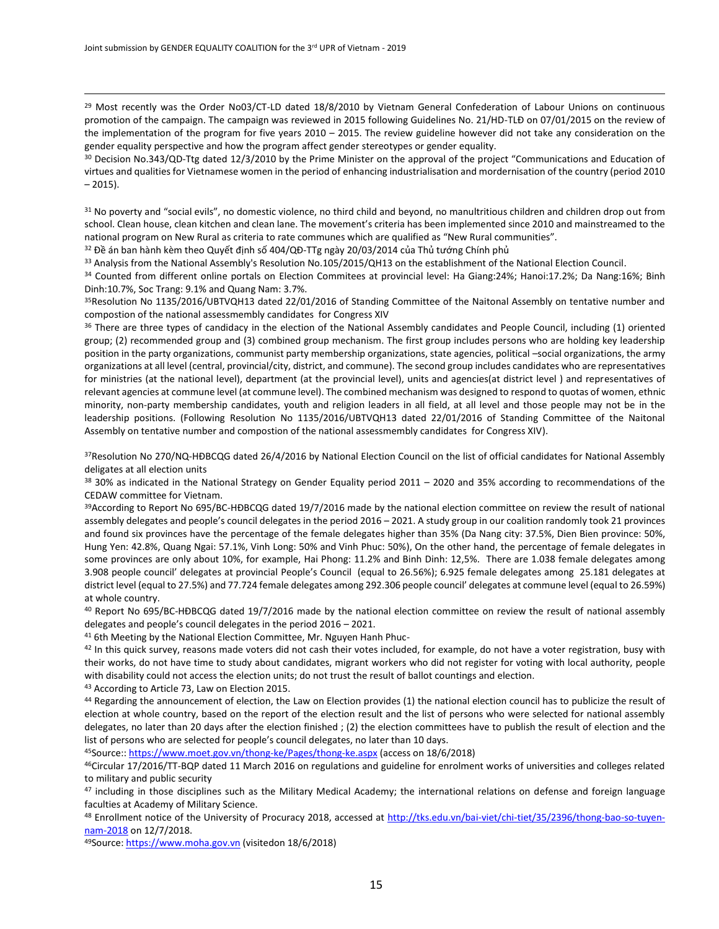$\overline{a}$ 

 $29$  Most recently was the Order No03/CT-LD dated 18/8/2010 by Vietnam General Confederation of Labour Unions on continuous promotion of the campaign. The campaign was reviewed in 2015 following Guidelines No. 21/HD-TLĐ on 07/01/2015 on the review of the implementation of the program for five years 2010 – 2015. The review guideline however did not take any consideration on the gender equality perspective and how the program affect gender stereotypes or gender equality.

<sup>30</sup> Decision No.343/QD-Ttg dated 12/3/2010 by the Prime Minister on the approval of the project "Communications and Education of virtues and qualities for Vietnamese women in the period of enhancing industrialisation and mordernisation of the country (period 2010 – 2015).

<sup>31</sup> No poverty and "social evils", no domestic violence, no third child and beyond, no manultritious children and children drop out from school. Clean house, clean kitchen and clean lane. The movement's criteria has been implemented since 2010 and mainstreamed to the national program on New Rural as criteria to rate communes which are qualified as "New Rural communities".

<sup>32</sup> Đề án ban hành kèm theo Quyết định số 404/QĐ-TTg ngày 20/03/2014 của Thủ tướng Chính phủ

33 Analysis from the National Assembly's Resolution No.105/2015/QH13 on the establishment of the National Election Council.

<sup>34</sup> Counted from different online portals on Election Commitees at provincial level: Ha Giang:24%; Hanoi:17.2%; Da Nang:16%; Binh Dinh:10.7%, Soc Trang: 9.1% and Quang Nam: 3.7%.

<sup>35</sup>Resolution No 1135/2016/UBTVQH13 dated 22/01/2016 of Standing Committee of the Naitonal Assembly on tentative number and compostion of the national assessmembly candidates for Congress XIV

<sup>36</sup> There are three types of candidacy in the election of the National Assembly candidates and People Council, including (1) oriented group; (2) recommended group and (3) combined group mechanism. The first group includes persons who are holding key leadership position in the party organizations, communist party membership organizations, state agencies, political –social organizations, the army organizations at all level (central, provincial/city, district, and commune). The second group includes candidates who are representatives for ministries (at the national level), department (at the provincial level), units and agencies(at district level ) and representatives of relevant agencies at commune level (at commune level). The combined mechanism was designed to respond to quotas of women, ethnic minority, non-party membership candidates, youth and religion leaders in all field, at all level and those people may not be in the leadership positions. (Following Resolution No 1135/2016/UBTVQH13 dated 22/01/2016 of Standing Committee of the Naitonal Assembly on tentative number and compostion of the national assessmembly candidates for Congress XIV).

37Resolution No 270/NQ-HĐBCQG dated 26/4/2016 by National Election Council on the list of official candidates for National Assembly deligates at all election units

38 30% as indicated in the National Strategy on Gender Equality period 2011 – 2020 and 35% according to recommendations of the CEDAW committee for Vietnam.

<sup>39</sup>According to Report No 695/BC-HĐBCQG dated 19/7/2016 made by the national election committee on review the result of national assembly delegates and people's council delegates in the period 2016 – 2021. A study group in our coalition randomly took 21 provinces and found six provinces have the percentage of the female delegates higher than 35% (Da Nang city: 37.5%, Dien Bien province: 50%, Hung Yen: 42.8%, Quang Ngai: 57.1%, Vinh Long: 50% and Vinh Phuc: 50%), On the other hand, the percentage of female delegates in some provinces are only about 10%, for example, Hai Phong: 11.2% and Binh Dinh: 12,5%. There are 1.038 female delegates among 3.908 people council' delegates at provincial People's Council (equal to 26.56%); 6.925 female delegates among 25.181 delegates at district level (equal to 27.5%) and 77.724 female delegates among 292.306 people council' delegates at commune level (equal to 26.59%) at whole country.

<sup>40</sup> Report No 695/BC-HĐBCQG dated 19/7/2016 made by the national election committee on review the result of national assembly delegates and people's council delegates in the period 2016 – 2021.

<sup>41</sup> 6th Meeting by the National Election Committee, Mr. Nguyen Hanh Phuc-

42 In this quick survey, reasons made voters did not cash their votes included, for example, do not have a voter registration, busy with their works, do not have time to study about candidates, migrant workers who did not register for voting with local authority, people with disability could not access the election units; do not trust the result of ballot countings and election.

<sup>43</sup> According to Article 73, Law on Election 2015.

44 Regarding the announcement of election, the Law on Election provides (1) the national election council has to publicize the result of election at whole country, based on the report of the election result and the list of persons who were selected for national assembly delegates, no later than 20 days after the election finished ; (2) the election committees have to publish the result of election and the list of persons who are selected for people's council delegates, no later than 10 days.

<sup>45</sup>Source::<https://www.moet.gov.vn/thong-ke/Pages/thong-ke.aspx> (access on 18/6/2018)

<sup>46</sup>Circular 17/2016/TT-BQP dated 11 March 2016 on regulations and guideline for enrolment works of universities and colleges related to military and public security

47 including in those disciplines such as the Military Medical Academy; the international relations on defense and foreign language faculties at Academy of Military Science.

<sup>48</sup> Enrollment notice of the University of Procuracy 2018, accessed at [http://tks.edu.vn/bai-viet/chi-tiet/35/2396/thong-bao-so-tuyen](http://tks.edu.vn/bai-viet/chi-tiet/35/2396/thong-bao-so-tuyen-nam-2018)[nam-2018](http://tks.edu.vn/bai-viet/chi-tiet/35/2396/thong-bao-so-tuyen-nam-2018) on 12/7/2018.

49Source[: https://www.moha.gov.vn](https://www.moha.gov.vn/) (visitedon 18/6/2018)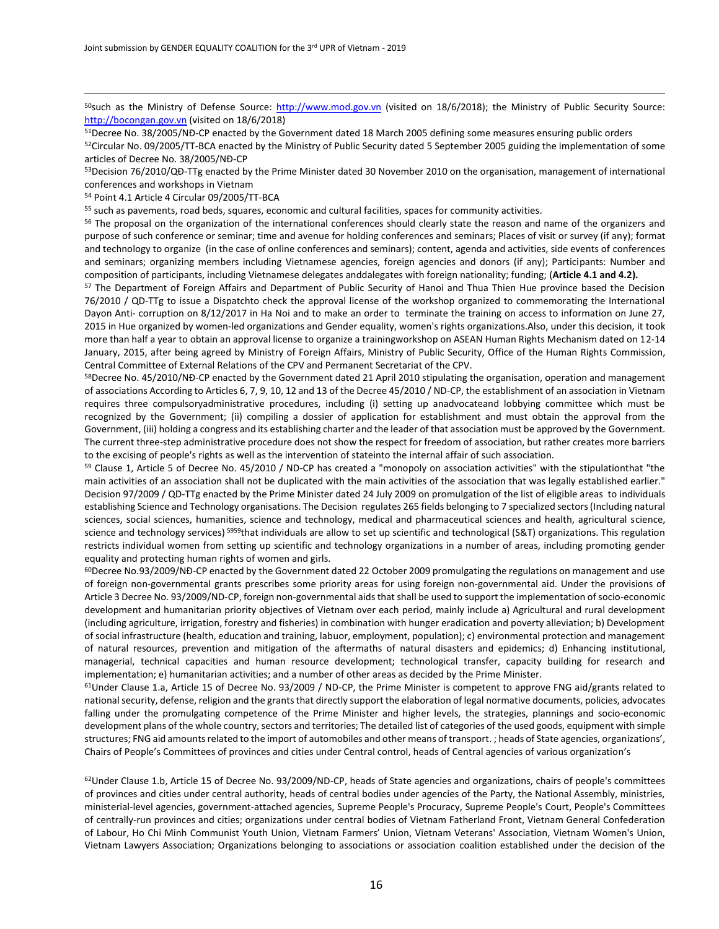50such as the Ministry of Defense Source: [http://www.mod.gov.vn](http://www.mod.gov.vn/) (visited on 18/6/2018); the Ministry of Public Security Source: [http://bocongan.gov.vn](http://bocongan.gov.vn/) (visited on 18/6/2018)

<sup>51</sup>Decree No. 38/2005/NĐ-CP enacted by the Government dated 18 March 2005 defining some measures ensuring public orders  $52$ Circular No. 09/2005/TT-BCA enacted by the Ministry of Public Security dated 5 September 2005 guiding the implementation of some

articles of Decree No. 38/2005/NĐ-CP 53Decision 76/2010/QĐ-TTg enacted by the Prime Minister dated 30 November 2010 on the organisation, management of international conferences and workshops in Vietnam

<sup>54</sup> Point 4.1 Article 4 Circular 09/2005/TT-BCA

 $\overline{a}$ 

<sup>55</sup> such as pavements, road beds, squares, economic and cultural facilities, spaces for community activities.

<sup>56</sup> The proposal on the organization of the international conferences should clearly state the reason and name of the organizers and purpose of such conference or seminar; time and avenue for holding conferences and seminars; Places of visit or survey (if any); format and technology to organize (in the case of online conferences and seminars); content, agenda and activities, side events of conferences and seminars; organizing members including Vietnamese agencies, foreign agencies and donors (if any); Participants: Number and composition of participants, including Vietnamese delegates anddalegates with foreign nationality; funding; (**Article 4.1 and 4.2).**

<sup>57</sup> The Department of Foreign Affairs and Department of Public Security of Hanoi and Thua Thien Hue province based the Decision 76/2010 / QD-TTg to issue a Dispatchto check the approval license of the workshop organized to commemorating the International Dayon Anti- corruption on 8/12/2017 in Ha Noi and to make an order to terminate the training on access to information on June 27, 2015 in Hue organized by women-led organizations and Gender equality, women's rights organizations.Also, under this decision, it took more than half a year to obtain an approval license to organize a trainingworkshop on ASEAN Human Rights Mechanism dated on 12-14 January, 2015, after being agreed by Ministry of Foreign Affairs, Ministry of Public Security, Office of the Human Rights Commission, Central Committee of External Relations of the CPV and Permanent Secretariat of the CPV.

<sup>58</sup>Decree No. 45/2010/NĐ-CP enacted by the Government dated 21 April 2010 stipulating the organisation, operation and management of associations According to Articles 6, 7, 9, 10, 12 and 13 of the Decree 45/2010 / ND-CP, the establishment of an association in Vietnam requires three compulsoryadministrative procedures, including (i) setting up anadvocateand lobbying committee which must be recognized by the Government; (ii) compiling a dossier of application for establishment and must obtain the approval from the Government, (iii) holding a congress and its establishing charter and the leader of that association must be approved by the Government. The current three-step administrative procedure does not show the respect for freedom of association, but rather creates more barriers to the excising of people's rights as well as the intervention of stateinto the internal affair of such association.

<sup>59</sup> Clause 1, Article 5 of Decree No. 45/2010 / ND-CP has created a "monopoly on association activities" with the stipulationthat "the main activities of an association shall not be duplicated with the main activities of the association that was legally established earlier." Decision 97/2009 / QD-TTg enacted by the Prime Minister dated 24 July 2009 on promulgation of the list of eligible areas to individuals establishing Science and Technology organisations. The Decision regulates 265 fields belonging to 7 specialized sectors (Including natural sciences, social sciences, humanities, science and technology, medical and pharmaceutical sciences and health, agricultural science, science and technology services) <sup>5959</sup>that individuals are allow to set up scientific and technological (S&T) organizations. This regulation restricts individual women from setting up scientific and technology organizations in a number of areas, including promoting gender equality and protecting human rights of women and girls.

<sup>60</sup>Decree No.93/2009/NĐ-CP enacted by the Government dated 22 October 2009 promulgating the regulations on management and use of foreign non-governmental grants prescribes some priority areas for using foreign non-governmental aid. Under the provisions of Article 3 Decree No. 93/2009/ND-CP, foreign non-governmental aids that shall be used to support the implementation of socio-economic development and humanitarian priority objectives of Vietnam over each period, mainly include a) Agricultural and rural development (including agriculture, irrigation, forestry and fisheries) in combination with hunger eradication and poverty alleviation; b) Development of social infrastructure (health, education and training, labuor, employment, population); c) environmental protection and management of natural resources, prevention and mitigation of the aftermaths of natural disasters and epidemics; d) Enhancing institutional, managerial, technical capacities and human resource development; technological transfer, capacity building for research and implementation; e) humanitarian activities; and a number of other areas as decided by the Prime Minister.

 $61$ Under Clause 1.a, Article 15 of Decree No. 93/2009 / ND-CP, the Prime Minister is competent to approve FNG aid/grants related to national security, defense, religion and the grants that directly support the elaboration of legal normative documents, policies, advocates falling under the promulgating competence of the Prime Minister and higher levels, the strategies, plannings and socio-economic development plans of the whole country, sectors and territories; The detailed list of categories of the used goods, equipment with simple structures; FNG aid amounts related to the import of automobiles and other means of transport. ; heads of State agencies, organizations', Chairs of People's Committees of provinces and cities under Central control, heads of Central agencies of various organization's

62Under Clause 1.b, Article 15 of Decree No. 93/2009/ND-CP, heads of State agencies and organizations, chairs of people's committees of provinces and cities under central authority, heads of central bodies under agencies of the Party, the National Assembly, ministries, ministerial-level agencies, government-attached agencies, Supreme People's Procuracy, Supreme People's Court, People's Committees of centrally-run provinces and cities; organizations under central bodies of Vietnam Fatherland Front, Vietnam General Confederation of Labour, Ho Chi Minh Communist Youth Union, Vietnam Farmers' Union, Vietnam Veterans' Association, Vietnam Women's Union, Vietnam Lawyers Association; Organizations belonging to associations or association coalition established under the decision of the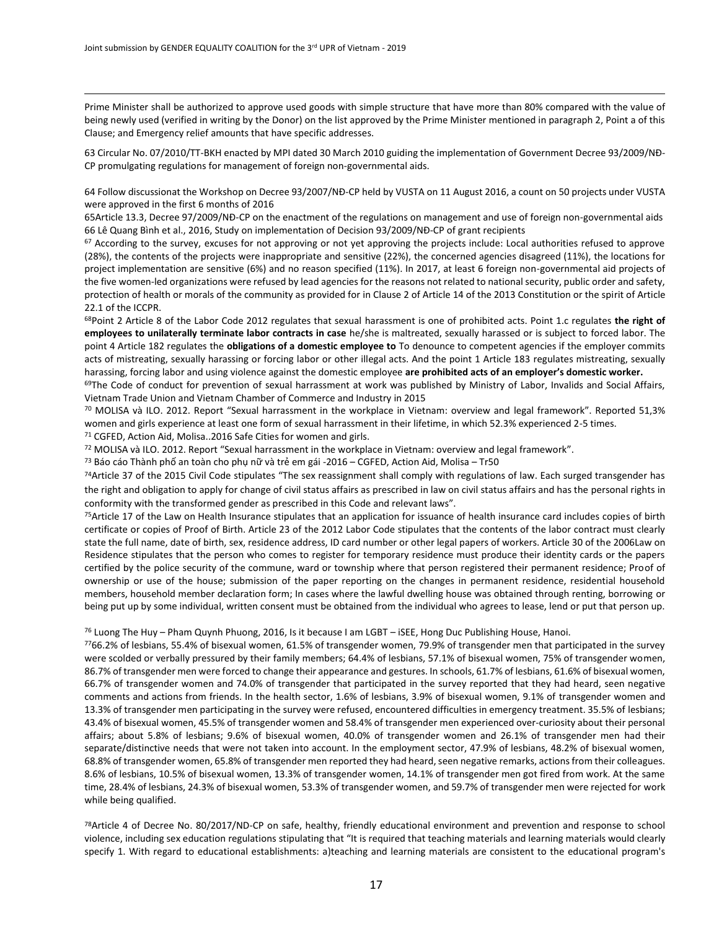$\overline{a}$ 

Prime Minister shall be authorized to approve used goods with simple structure that have more than 80% compared with the value of being newly used (verified in writing by the Donor) on the list approved by the Prime Minister mentioned in paragraph 2, Point a of this Clause; and Emergency relief amounts that have specific addresses.

63 Circular No. 07/2010/TT-BKH enacted by MPI dated 30 March 2010 guiding the implementation of Government Decree 93/2009/NĐ-CP promulgating regulations for management of foreign non-governmental aids.

64 Follow discussionat the Workshop on Decree 93/2007/NĐ-CP held by VUSTA on 11 August 2016, a count on 50 projects under VUSTA were approved in the first 6 months of 2016

65Article 13.3, Decree 97/2009/NĐ-CP on the enactment of the regulations on management and use of foreign non-governmental aids 66 Lê Quang Bình et al., 2016, Study on implementation of Decision 93/2009/NĐ-CP of grant recipients

<sup>67</sup> According to the survey, excuses for not approving or not yet approving the projects include: Local authorities refused to approve (28%), the contents of the projects were inappropriate and sensitive (22%), the concerned agencies disagreed (11%), the locations for project implementation are sensitive (6%) and no reason specified (11%). In 2017, at least 6 foreign non-governmental aid projects of the five women-led organizations were refused by lead agencies for the reasons not related to national security, public order and safety, protection of health or morals of the community as provided for in Clause 2 of Article 14 of the 2013 Constitution or the spirit of Article 22.1 of the ICCPR.

<sup>68</sup>Point 2 Article 8 of the Labor Code 2012 regulates that sexual harassment is one of prohibited acts. Point 1.c regulates **the right of employees to unilaterally terminate labor contracts in case** he/she is maltreated, sexually harassed or is subject to forced labor. The point 4 Article 182 regulates the **obligations of a domestic employee to** To denounce to competent agencies if the employer commits acts of mistreating, sexually harassing or forcing labor or other illegal acts. And the point 1 Article 183 regulates mistreating, sexually harassing, forcing labor and using violence against the domestic employee **are prohibited acts of an employer's domestic worker.**

69The Code of conduct for prevention of sexual harrassment at work was published by Ministry of Labor, Invalids and Social Affairs, Vietnam Trade Union and Vietnam Chamber of Commerce and Industry in 2015

<sup>70</sup> MOLISA và ILO. 2012. Report "Sexual harrassment in the workplace in Vietnam: overview and legal framework". Reported 51,3% women and girls experience at least one form of sexual harrassment in their lifetime, in which 52.3% experienced 2-5 times.

<sup>71</sup> CGFED, Action Aid, Molisa..2016 Safe Cities for women and girls.

<sup>72</sup> MOLISA và ILO. 2012. Report "Sexual harrassment in the workplace in Vietnam: overview and legal framework".

<sup>73</sup> Báo cáo Thành phố an toàn cho phụ nữ và trẻ em gái -2016 – CGFED, Action Aid, Molisa – Tr50

<sup>74</sup>Article 37 of the 2015 Civil Code stipulates "The sex reassignment shall comply with regulations of law. Each surged transgender has the right and obligation to apply for change of civil status affairs as prescribed in law on civil status affairs and has the personal rights in conformity with the transformed gender as prescribed in this Code and relevant laws".

75Article 17 of the Law on Health Insurance stipulates that an application for issuance of health insurance card includes copies of birth certificate or copies of Proof of Birth. Article 23 of the 2012 Labor Code stipulates that the contents of the labor contract must clearly state the full name, date of birth, sex, residence address, ID card number or other legal papers of workers. Article 30 of the 2006Law on Residence stipulates that the person who comes to register for temporary residence must produce their identity cards or the papers certified by the police security of the commune, ward or township where that person registered their permanent residence; Proof of ownership or use of the house; submission of the paper reporting on the changes in permanent residence, residential household members, household member declaration form; In cases where the lawful dwelling house was obtained through renting, borrowing or being put up by some individual, written consent must be obtained from the individual who agrees to lease, lend or put that person up.

<sup>76</sup> Luong The Huy – Pham Quynh Phuong, 2016, Is it because I am LGBT – iSEE, Hong Duc Publishing House, Hanoi.

<sup>77</sup>66.2% of lesbians, 55.4% of bisexual women, 61.5% of transgender women, 79.9% of transgender men that participated in the survey were scolded or verbally pressured by their family members; 64.4% of lesbians, 57.1% of bisexual women, 75% of transgender women, 86.7% of transgender men were forced to change their appearance and gestures. In schools, 61.7% of lesbians, 61.6% of bisexual women, 66.7% of transgender women and 74.0% of transgender that participated in the survey reported that they had heard, seen negative comments and actions from friends. In the health sector, 1.6% of lesbians, 3.9% of bisexual women, 9.1% of transgender women and 13.3% of transgender men participating in the survey were refused, encountered difficulties in emergency treatment. 35.5% of lesbians; 43.4% of bisexual women, 45.5% of transgender women and 58.4% of transgender men experienced over-curiosity about their personal affairs; about 5.8% of lesbians; 9.6% of bisexual women, 40.0% of transgender women and 26.1% of transgender men had their separate/distinctive needs that were not taken into account. In the employment sector, 47.9% of lesbians, 48.2% of bisexual women, 68.8% of transgender women, 65.8% of transgender men reported they had heard, seen negative remarks, actions from their colleagues. 8.6% of lesbians, 10.5% of bisexual women, 13.3% of transgender women, 14.1% of transgender men got fired from work. At the same time, 28.4% of lesbians, 24.3% of bisexual women, 53.3% of transgender women, and 59.7% of transgender men were rejected for work while being qualified.

<sup>78</sup>Article 4 of Decree No. 80/2017/ND-CP on safe, healthy, friendly educational environment and prevention and response to school violence, including sex education regulations stipulating that "It is required that teaching materials and learning materials would clearly specify 1. With regard to educational establishments: a)teaching and learning materials are consistent to the educational program's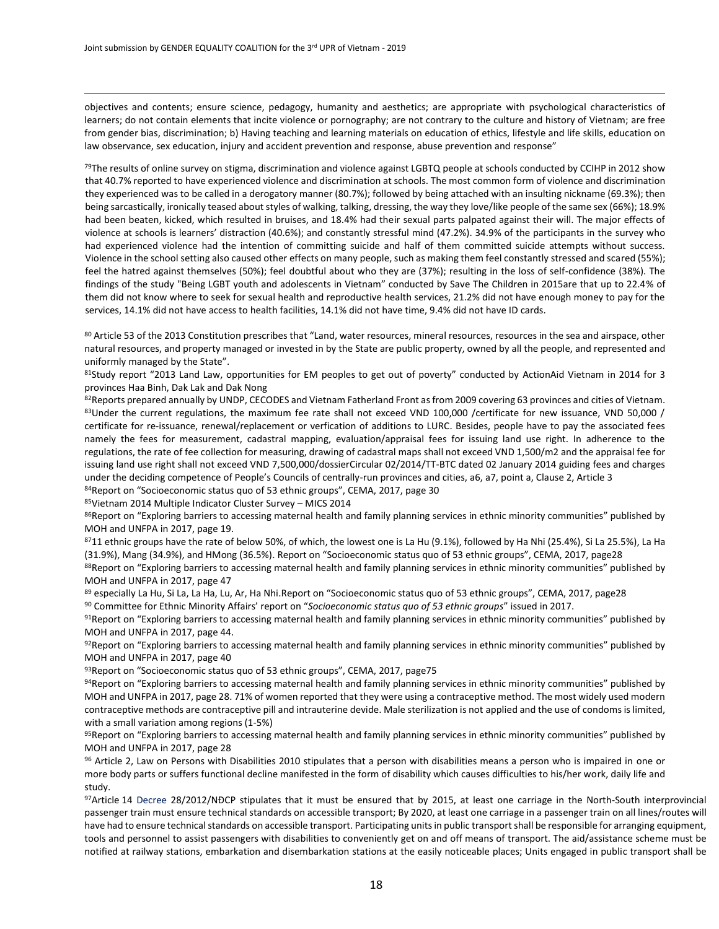$\overline{a}$ 

objectives and contents; ensure science, pedagogy, humanity and aesthetics; are appropriate with psychological characteristics of learners; do not contain elements that incite violence or pornography; are not contrary to the culture and history of Vietnam; are free from gender bias, discrimination; b) Having teaching and learning materials on education of ethics, lifestyle and life skills, education on law observance, sex education, injury and accident prevention and response, abuse prevention and response"

 $79$ The results of online survey on stigma, discrimination and violence against LGBTQ people at schools conducted by CCIHP in 2012 show that 40.7% reported to have experienced violence and discrimination at schools. The most common form of violence and discrimination they experienced was to be called in a derogatory manner (80.7%); followed by being attached with an insulting nickname (69.3%); then being sarcastically, ironically teased about styles of walking, talking, dressing, the way they love/like people of the same sex (66%); 18.9% had been beaten, kicked, which resulted in bruises, and 18.4% had their sexual parts palpated against their will. The major effects of violence at schools is learners' distraction (40.6%); and constantly stressful mind (47.2%). 34.9% of the participants in the survey who had experienced violence had the intention of committing suicide and half of them committed suicide attempts without success. Violence in the school setting also caused other effects on many people, such as making them feel constantly stressed and scared (55%); feel the hatred against themselves (50%); feel doubtful about who they are (37%); resulting in the loss of self-confidence (38%). The findings of the study "Being LGBT youth and adolescents in Vietnam" conducted by Save The Children in 2015are that up to 22.4% of them did not know where to seek for sexual health and reproductive health services, 21.2% did not have enough money to pay for the services, 14.1% did not have access to health facilities, 14.1% did not have time, 9.4% did not have ID cards.

80 Article 53 of the 2013 Constitution prescribes that "Land, water resources, mineral resources, resources in the sea and airspace, other natural resources, and property managed or invested in by the State are public property, owned by all the people, and represented and uniformly managed by the State".

81Study report "2013 Land Law, opportunities for EM peoples to get out of poverty" conducted by ActionAid Vietnam in 2014 for 3 provinces Haa Binh, Dak Lak and Dak Nong

82Reports prepared annually by UNDP, CECODES and Vietnam Fatherland Front as from 2009 covering 63 provinces and cities of Vietnam. 83Under the current regulations, the maximum fee rate shall not exceed VND 100,000 /certificate for new issuance, VND 50,000 / certificate for re-issuance, renewal/replacement or verfication of additions to LURC. Besides, people have to pay the associated fees namely the fees for measurement, cadastral mapping, evaluation/appraisal fees for issuing land use right. In adherence to the regulations, the rate of fee collection for measuring, drawing of cadastral maps shall not exceed VND 1,500/m2 and the appraisal fee for issuing land use right shall not exceed VND 7,500,000/dossierCircular 02/2014/TT-BTC dated 02 January 2014 guiding fees and charges under the deciding competence of People's Councils of centrally-run provinces and cities, a6, a7, point a, Clause 2, Article 3

84Report on "Socioeconomic status quo of 53 ethnic groups", CEMA, 2017, page 30

<sup>85</sup>Vietnam 2014 Multiple Indicator Cluster Survey – MICS 2014

86Report on "Exploring barriers to accessing maternal health and family planning services in ethnic minority communities" published by MOH and UNFPA in 2017, page 19.

8711 ethnic groups have the rate of below 50%, of which, the lowest one is La Hu (9.1%), followed by Ha Nhi (25.4%), Si La 25.5%), La Ha (31.9%), Mang (34.9%), and HMong (36.5%). Report on "Socioeconomic status quo of 53 ethnic groups", CEMA, 2017, page28 88Report on "Exploring barriers to accessing maternal health and family planning services in ethnic minority communities" published by MOH and UNFPA in 2017, page 47

89 especially La Hu, Si La, La Ha, Lu, Ar, Ha Nhi.Report on "Socioeconomic status quo of 53 ethnic groups", CEMA, 2017, page28 <sup>90</sup> Committee for Ethnic Minority Affairs' report on "*Socioeconomic status quo of 53 ethnic groups*" issued in 2017.

91Report on "Exploring barriers to accessing maternal health and family planning services in ethnic minority communities" published by MOH and UNFPA in 2017, page 44.

92Report on "Exploring barriers to accessing maternal health and family planning services in ethnic minority communities" published by MOH and UNFPA in 2017, page 40

93 Report on "Socioeconomic status quo of 53 ethnic groups", CEMA, 2017, page75

94Report on "Exploring barriers to accessing maternal health and family planning services in ethnic minority communities" published by MOH and UNFPA in 2017, page 28. 71% of women reported that they were using a contraceptive method. The most widely used modern contraceptive methods are contraceptive pill and intrauterine devide. Male sterilization is not applied and the use of condoms is limited, with a small variation among regions (1-5%)

95 Report on "Exploring barriers to accessing maternal health and family planning services in ethnic minority communities" published by MOH and UNFPA in 2017, page 28

<sup>96</sup> Article 2, Law on Persons with Disabilities 2010 stipulates that a person with disabilities means a person who is impaired in one or more body parts or suffers functional decline manifested in the form of disability which causes difficulties to his/her work, daily life and study.

97Article 14 Decree 28/2012/NĐCP stipulates that it must be ensured that by 2015, at least one carriage in the North-South interprovincial passenger train must ensure technical standards on accessible transport; By 2020, at least one carriage in a passenger train on all lines/routes will have had to ensure technical standards on accessible transport. Participating units in public transport shall be responsible for arranging equipment, tools and personnel to assist passengers with disabilities to conveniently get on and off means of transport. The aid/assistance scheme must be notified at railway stations, embarkation and disembarkation stations at the easily noticeable places; Units engaged in public transport shall be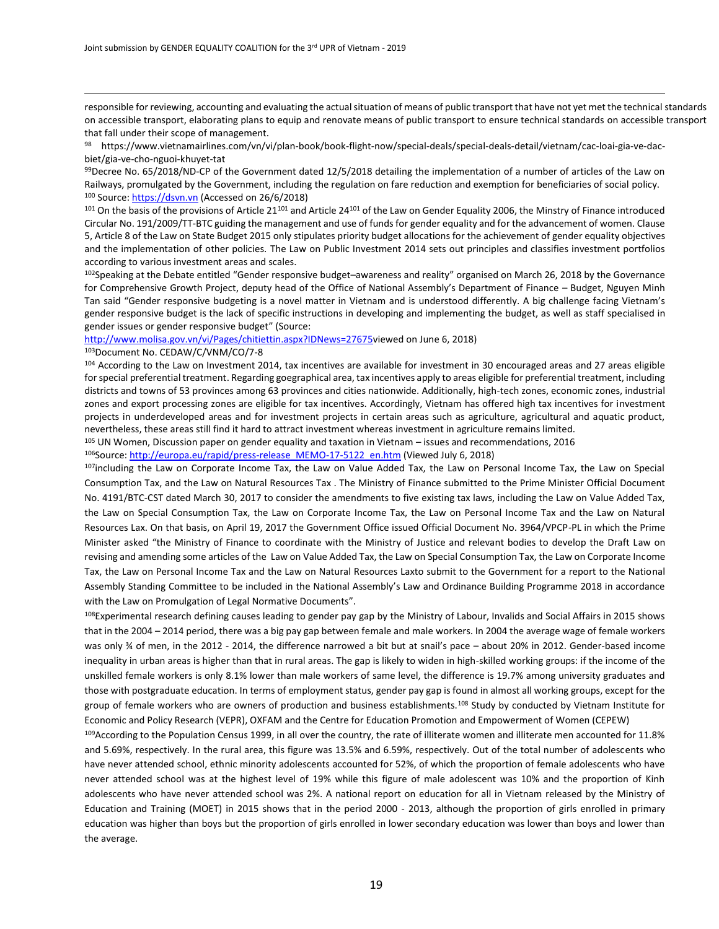responsible for reviewing, accounting and evaluating the actual situation of means of public transport that have not yet met the technical standards on accessible transport, elaborating plans to equip and renovate means of public transport to ensure technical standards on accessible transport that fall under their scope of management.

<sup>98</sup> https://www.vietnamairlines.com/vn/vi/plan-book/book-flight-now/special-deals/special-deals-detail/vietnam/cac-loai-gia-ve-dacbiet/gia-ve-cho-nguoi-khuyet-tat

 $99$ Decree No. 65/2018/ND-CP of the Government dated 12/5/2018 detailing the implementation of a number of articles of the Law on Railways, promulgated by the Government, including the regulation on fare reduction and exemption for beneficiaries of social policy. 100 Source[: https://dsvn.vn](https://dsvn.vn/) (Accessed on 26/6/2018)

 $101$  On the basis of the provisions of Article 21 $101$  and Article 24 $101$  of the Law on Gender Equality 2006, the Minstry of Finance introduced Circular No. 191/2009/TT-BTC guiding the management and use of funds for gender equality and for the advancement of women. Clause 5, Article 8 of the Law on State Budget 2015 only stipulates priority budget allocations for the achievement of gender equality objectives and the implementation of other policies. The Law on Public Investment 2014 sets out principles and classifies investment portfolios according to various investment areas and scales.

<sup>102</sup>Speaking at the Debate entitled "Gender responsive budget–awareness and reality" organised on March 26, 2018 by the Governance for Comprehensive Growth Project, deputy head of the Office of National Assembly's Department of Finance – Budget, Nguyen Minh Tan said "Gender responsive budgeting is a novel matter in Vietnam and is understood differently. A big challenge facing Vietnam's gender responsive budget is the lack of specific instructions in developing and implementing the budget, as well as staff specialised in gender issues or gender responsive budget" (Source:

#### [http://www.molisa.gov.vn/vi/Pages/chitiettin.aspx?IDNews=27675v](http://www.molisa.gov.vn/vi/Pages/chitiettin.aspx?IDNews=27675)iewed on June 6, 2018)

#### <sup>103</sup>Document No. CEDAW/C/VNM/CO/7-8

 $\overline{a}$ 

104 According to the Law on Investment 2014, tax incentives are available for investment in 30 encouraged areas and 27 areas eligible for special preferential treatment. Regarding goegraphical area, tax incentives apply to areas eligible for preferential treatment, including districts and towns of 53 provinces among 63 provinces and cities nationwide. Additionally, high-tech zones, economic zones, industrial zones and export processing zones are eligible for tax incentives. Accordingly, Vietnam has offered high tax incentives for investment projects in underdeveloped areas and for investment projects in certain areas such as agriculture, agricultural and aquatic product, nevertheless, these areas still find it hard to attract investment whereas investment in agriculture remains limited.

<sup>105</sup> UN Women, Discussion paper on gender equality and taxation in Vietnam – issues and recommendations, 2016

<sup>106</sup>Source[: http://europa.eu/rapid/press-release\\_MEMO-17-5122\\_en.htm](http://europa.eu/rapid/press-release_MEMO-17-5122_en.htm) (Viewed July 6, 2018)

107including the Law on Corporate Income Tax, the Law on Value Added Tax, the Law on Personal Income Tax, the Law on Special Consumption Tax, and the Law on Natural Resources Tax . The Ministry of Finance submitted to the Prime Minister Official Document No. 4191/BTC-CST dated March 30, 2017 to consider the amendments to five existing tax laws, including the Law on Value Added Tax, the Law on Special Consumption Tax, the Law on Corporate Income Tax, the Law on Personal Income Tax and the Law on Natural Resources Lax. On that basis, on April 19, 2017 the Government Office issued Official Document No. 3964/VPCP-PL in which the Prime Minister asked "the Ministry of Finance to coordinate with the Ministry of Justice and relevant bodies to develop the Draft Law on revising and amending some articles of the Law on Value Added Tax, the Law on Special Consumption Tax, the Law on Corporate Income Tax, the Law on Personal Income Tax and the Law on Natural Resources Laxto submit to the Government for a report to the National Assembly Standing Committee to be included in the National Assembly's Law and Ordinance Building Programme 2018 in accordance with the Law on Promulgation of Legal Normative Documents".

<sup>108</sup>Experimental research defining causes leading to gender pay gap by the Ministry of Labour, Invalids and Social Affairs in 2015 shows that in the 2004 – 2014 period, there was a big pay gap between female and male workers. In 2004 the average wage of female workers was only ¾ of men, in the 2012 - 2014, the difference narrowed a bit but at snail's pace – about 20% in 2012. Gender-based income inequality in urban areas is higher than that in rural areas. The gap is likely to widen in high-skilled working groups: if the income of the unskilled female workers is only 8.1% lower than male workers of same level, the difference is 19.7% among university graduates and those with postgraduate education. In terms of employment status, gender pay gap is found in almost all working groups, except for the group of female workers who are owners of production and business establishments.<sup>108</sup> Study by conducted by Vietnam Institute for Economic and Policy Research (VEPR), OXFAM and the Centre for Education Promotion and Empowerment of Women (CEPEW)

109 According to the Population Census 1999, in all over the country, the rate of illiterate women and illiterate men accounted for 11.8% and 5.69%, respectively. In the rural area, this figure was 13.5% and 6.59%, respectively. Out of the total number of adolescents who have never attended school, ethnic minority adolescents accounted for 52%, of which the proportion of female adolescents who have never attended school was at the highest level of 19% while this figure of male adolescent was 10% and the proportion of Kinh adolescents who have never attended school was 2%. A national report on education for all in Vietnam released by the Ministry of Education and Training (MOET) in 2015 shows that in the period 2000 - 2013, although the proportion of girls enrolled in primary education was higher than boys but the proportion of girls enrolled in lower secondary education was lower than boys and lower than the average.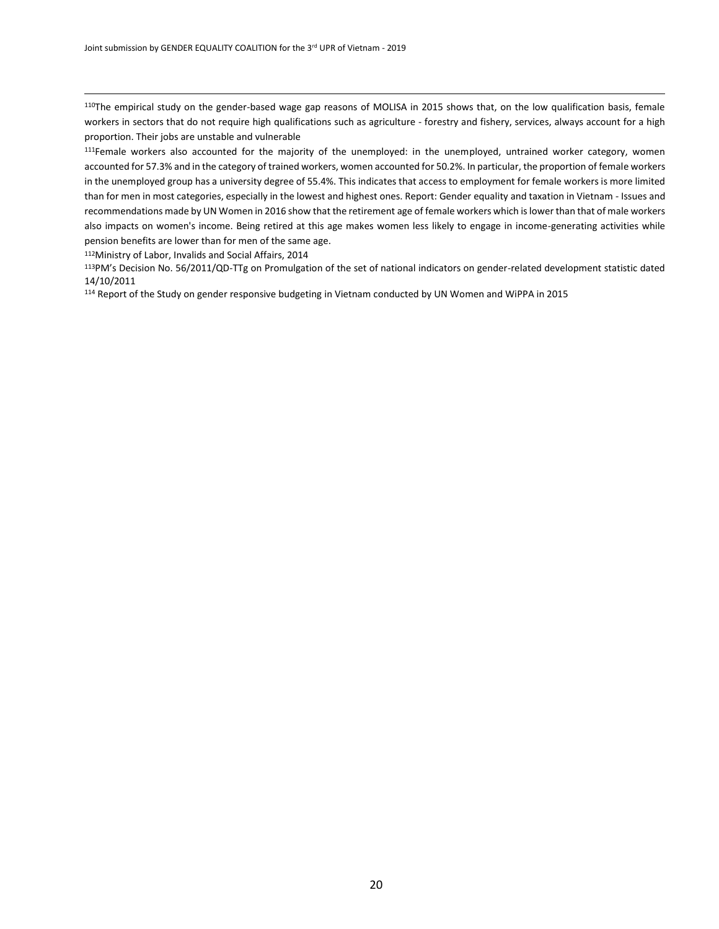<sup>110</sup>The empirical study on the gender-based wage gap reasons of MOLISA in 2015 shows that, on the low qualification basis, female workers in sectors that do not require high qualifications such as agriculture - forestry and fishery, services, always account for a high proportion. Their jobs are unstable and vulnerable

111Female workers also accounted for the majority of the unemployed: in the unemployed, untrained worker category, women accounted for 57.3% and in the category of trained workers, women accounted for 50.2%. In particular, the proportion of female workers in the unemployed group has a university degree of 55.4%. This indicates that access to employment for female workers is more limited than for men in most categories, especially in the lowest and highest ones. Report: Gender equality and taxation in Vietnam - Issues and recommendations made by UN Women in 2016 show that the retirement age of female workers which is lower than that of male workers also impacts on women's income. Being retired at this age makes women less likely to engage in income-generating activities while pension benefits are lower than for men of the same age.

<sup>112</sup>Ministry of Labor, Invalids and Social Affairs, 2014

 $\overline{a}$ 

<sup>113</sup>PM's Decision No. 56/2011/QD-TTg on Promulgation of the set of national indicators on gender-related development statistic dated 14/10/2011

<sup>114</sup> Report of the Study on gender responsive budgeting in Vietnam conducted by UN Women and WiPPA in 2015